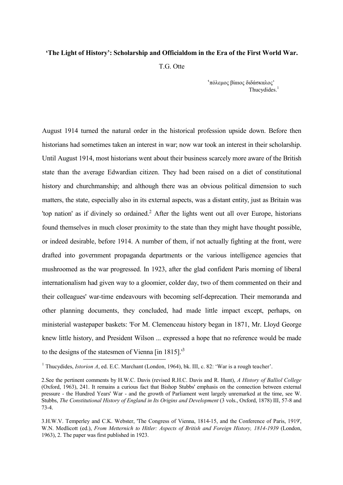## **'The Light of History': Scholarship and Officialdom in the Era of the First World War.**

T.G. Otte

'πόλεμος βίαιος διδάσκαλος' Thucydides.<sup>1</sup>

August 1914 turned the natural order in the historical profession upside down. Before then historians had sometimes taken an interest in war; now war took an interest in their scholarship. Until August 1914, most historians went about their business scarcely more aware of the British state than the average Edwardian citizen. They had been raised on a diet of constitutional history and churchmanship; and although there was an obvious political dimension to such matters, the state, especially also in its external aspects, was a distant entity, just as Britain was 'top nation' as if divinely so ordained.<sup>2</sup> After the lights went out all over Europe, historians found themselves in much closer proximity to the state than they might have thought possible, or indeed desirable, before 1914. A number of them, if not actually fighting at the front, were drafted into government propaganda departments or the various intelligence agencies that mushroomed as the war progressed. In 1923, after the glad confident Paris morning of liberal internationalism had given way to a gloomier, colder day, two of them commented on their and their colleagues' war-time endeavours with becoming self-deprecation. Their memoranda and other planning documents, they concluded, had made little impact except, perhaps, on ministerial wastepaper baskets: 'For M. Clemenceau history began in 1871, Mr. Lloyd George knew little history, and President Wilson ... expressed a hope that no reference would be made to the designs of the statesmen of Vienna  $\sin 1815$ .<sup>13</sup> <u>—</u>

<sup>&</sup>lt;sup>1</sup> Thucydides, *Istorion A*, ed. E.C. Marchant (London, 1964), bk. III, c. 82: 'War is a rough teacher'.

<sup>2.</sup>See the pertinent comments by H.W.C. Davis (revised R.H.C. Davis and R. Hunt), *A History of Balliol College* (Oxford, 1963), 241. It remains a curious fact that Bishop Stubbs' emphasis on the connection between external pressure - the Hundred Years' War - and the growth of Parliament went largely unremarked at the time, see W. Stubbs, *The Constitutional History of England in Its Origins and Development* (3 vols., Oxford, 1878) III, 57-8 and 73-4.

<sup>3.</sup>H.W.V. Temperley and C.K. Webster, 'The Congress of Vienna, 1814-15, and the Conference of Paris, 1919', W.N. Medlicott (ed.), *From Metternich to Hitler: Aspects of British and Foreign History, 1814-1939* (London, 1963), 2. The paper was first published in 1923.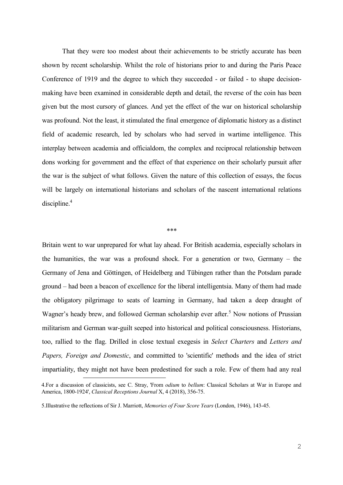That they were too modest about their achievements to be strictly accurate has been shown by recent scholarship. Whilst the role of historians prior to and during the Paris Peace Conference of 1919 and the degree to which they succeeded - or failed - to shape decisionmaking have been examined in considerable depth and detail, the reverse of the coin has been given but the most cursory of glances. And yet the effect of the war on historical scholarship was profound. Not the least, it stimulated the final emergence of diplomatic history as a distinct field of academic research, led by scholars who had served in wartime intelligence. This interplay between academia and officialdom, the complex and reciprocal relationship between dons working for government and the effect of that experience on their scholarly pursuit after the war is the subject of what follows. Given the nature of this collection of essays, the focus will be largely on international historians and scholars of the nascent international relations discipline.<sup>4</sup>

## \*\*\*

Britain went to war unprepared for what lay ahead. For British academia, especially scholars in the humanities, the war was a profound shock. For a generation or two, Germany – the Germany of Jena and Göttingen, of Heidelberg and Tübingen rather than the Potsdam parade ground – had been a beacon of excellence for the liberal intelligentsia. Many of them had made the obligatory pilgrimage to seats of learning in Germany, had taken a deep draught of Wagner's heady brew, and followed German scholarship ever after.<sup>5</sup> Now notions of Prussian militarism and German war-guilt seeped into historical and political consciousness. Historians, too, rallied to the flag. Drilled in close textual exegesis in *Select Charters* and *Letters and Papers, Foreign and Domestic*, and committed to 'scientific' methods and the idea of strict impartiality, they might not have been predestined for such a role. Few of them had any real

<sup>4.</sup>For a discussion of classicists, see C. Stray, 'From *odium* to *bellum*: Classical Scholars at War in Europe and America, 1800-1924', *Classical Receptions Journal* X, 4 (2018), 356-75.

<sup>5.</sup>Illustrative the reflections of Sir J. Marriott, *Memories of Four Score Years* (London, 1946), 143-45.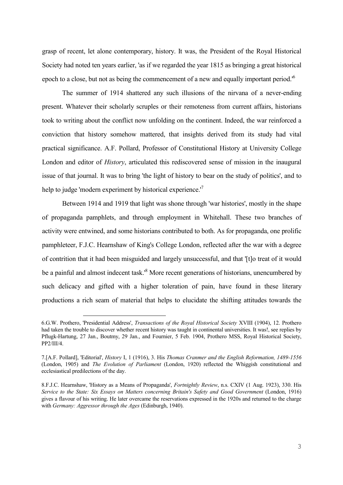grasp of recent, let alone contemporary, history. It was, the President of the Royal Historical Society had noted ten years earlier, 'as if we regarded the year 1815 as bringing a great historical epoch to a close, but not as being the commencement of a new and equally important period.<sup>'6</sup>

The summer of 1914 shattered any such illusions of the nirvana of a never-ending present. Whatever their scholarly scruples or their remoteness from current affairs, historians took to writing about the conflict now unfolding on the continent. Indeed, the war reinforced a conviction that history somehow mattered, that insights derived from its study had vital practical significance. A.F. Pollard, Professor of Constitutional History at University College London and editor of *History*, articulated this rediscovered sense of mission in the inaugural issue of that journal. It was to bring 'the light of history to bear on the study of politics', and to help to judge 'modern experiment by historical experience.<sup>'7</sup>

Between 1914 and 1919 that light was shone through 'war histories', mostly in the shape of propaganda pamphlets, and through employment in Whitehall. These two branches of activity were entwined, and some historians contributed to both. As for propaganda, one prolific pamphleteer, F.J.C. Hearnshaw of King's College London, reflected after the war with a degree of contrition that it had been misguided and largely unsuccessful, and that '[t]o treat of it would be a painful and almost indecent task.<sup>8</sup> More recent generations of historians, unencumbered by such delicacy and gifted with a higher toleration of pain, have found in these literary productions a rich seam of material that helps to elucidate the shifting attitudes towards the

<sup>6.</sup>G.W. Prothero, 'Presidential Address', *Transactions of the Royal Historical Society* XVIII (1904), 12. Prothero had taken the trouble to discover whether recent history was taught in continental universities. It was!, see replies by Pflugk-Hartung, 27 Jan., Boutmy, 29 Jan., and Fournier, 5 Feb. 1904, Prothero MSS, Royal Historical Society, PP2/III/4.

<sup>7.[</sup>A.F. Pollard], 'Editorial', *History* I, 1 (1916), 3. His *Thomas Cranmer and the English Reformation, 1489-1556* (London, 1905) and *The Evolution of Parliament* (London, 1920) reflected the Whiggish constitutional and ecclesiastical predilections of the day.

<sup>8.</sup>F.J.C. Hearnshaw, 'History as a Means of Propaganda', *Fortnightly Review*, n.s. CXIV (1 Aug. 1923), 330. His *Service to the State: Six Essays on Matters concerning Britain's Safety and Good Government* (London, 1916) gives a flavour of his writing. He later overcame the reservations expressed in the 1920s and returned to the charge with *Germany: Aggressor through the Ages* (Edinburgh, 1940).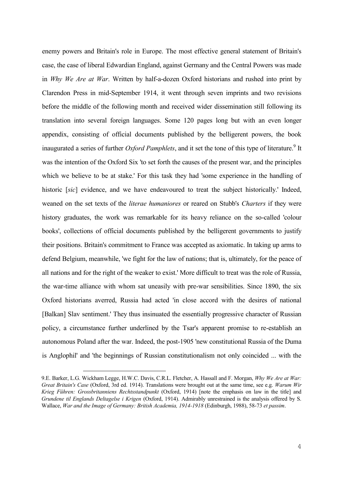enemy powers and Britain's role in Europe. The most effective general statement of Britain's case, the case of liberal Edwardian England, against Germany and the Central Powers was made in *Why We Are at War*. Written by half-a-dozen Oxford historians and rushed into print by Clarendon Press in mid-September 1914, it went through seven imprints and two revisions before the middle of the following month and received wider dissemination still following its translation into several foreign languages. Some 120 pages long but with an even longer appendix, consisting of official documents published by the belligerent powers, the book inaugurated a series of further *Oxford Pamphlets*, and it set the tone of this type of literature.<sup>9</sup> It was the intention of the Oxford Six 'to set forth the causes of the present war, and the principles which we believe to be at stake.' For this task they had 'some experience in the handling of historic [*sic*] evidence, and we have endeavoured to treat the subject historically.' Indeed, weaned on the set texts of the *literae humaniores* or reared on Stubb's *Charters* if they were history graduates, the work was remarkable for its heavy reliance on the so-called 'colour books', collections of official documents published by the belligerent governments to justify their positions. Britain's commitment to France was accepted as axiomatic. In taking up arms to defend Belgium, meanwhile, 'we fight for the law of nations; that is, ultimately, for the peace of all nations and for the right of the weaker to exist.' More difficult to treat was the role of Russia, the war-time alliance with whom sat uneasily with pre-war sensibilities. Since 1890, the six Oxford historians averred, Russia had acted 'in close accord with the desires of national [Balkan] Slav sentiment.' They thus insinuated the essentially progressive character of Russian policy, a circumstance further underlined by the Tsar's apparent promise to re-establish an autonomous Poland after the war. Indeed, the post-1905 'new constitutional Russia of the Duma is Anglophil' and 'the beginnings of Russian constitutionalism not only coincided ... with the

<sup>9.</sup>E. Barker, L.G. Wickham Legge, H.W.C. Davis, C.R.L. Fletcher, A. Hassall and F. Morgan, *Why We Are at War: Great Britain's Case* (Oxford, 3rd ed. 1914). Translations were brought out at the same time, see e.g. *Warum Wir Krieg Führen: Grossbritanniens Rechtsstandpunkt* (Oxford, 1914) [note the emphasis on law in the title] and *Grundene til Englands Deltagelse i Krigen* (Oxford, 1914). Admirably unrestrained is the analysis offered by S. Wallace, *War and the Image of Germany: British Academia, 1914-1918* (Edinburgh, 1988), 58-73 *et passim*.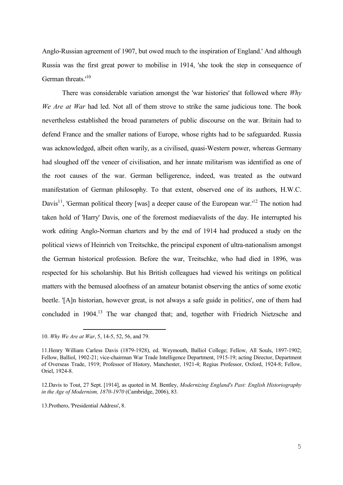Anglo-Russian agreement of 1907, but owed much to the inspiration of England.' And although Russia was the first great power to mobilise in 1914, 'she took the step in consequence of German threats.<sup>'10</sup>

There was considerable variation amongst the 'war histories' that followed where *Why We Are at War* had led. Not all of them strove to strike the same judicious tone. The book nevertheless established the broad parameters of public discourse on the war. Britain had to defend France and the smaller nations of Europe, whose rights had to be safeguarded. Russia was acknowledged, albeit often warily, as a civilised, quasi-Western power, whereas Germany had sloughed off the veneer of civilisation, and her innate militarism was identified as one of the root causes of the war. German belligerence, indeed, was treated as the outward manifestation of German philosophy. To that extent, observed one of its authors, H.W.C. Davis<sup>11</sup>, 'German political theory [was] a deeper cause of the European war.<sup>12</sup> The notion had taken hold of 'Harry' Davis, one of the foremost mediaevalists of the day. He interrupted his work editing Anglo-Norman charters and by the end of 1914 had produced a study on the political views of Heinrich von Treitschke, the principal exponent of ultra-nationalism amongst the German historical profession. Before the war, Treitschke, who had died in 1896, was respected for his scholarship. But his British colleagues had viewed his writings on political matters with the bemused aloofness of an amateur botanist observing the antics of some exotic beetle. '[A]n historian, however great, is not always a safe guide in politics', one of them had concluded in 1904.<sup>13</sup> The war changed that; and, together with Friedrich Nietzsche and

<u>—</u>

13.Prothero, 'Presidential Address', 8.

<sup>10.</sup> *Why We Are at War*, 5, 14-5, 52, 56, and 79.

<sup>11.</sup>Henry William Carless Davis (1879-1928), ed. Weymouth, Balliol College; Fellow, All Souls, 1897-1902; Fellow, Balliol, 1902-21; vice-chairman War Trade Intelligence Department, 1915-19; acting Director, Department of Overseas Trade, 1919; Professor of History, Manchester, 1921-4; Regius Professor, Oxford, 1924-8; Fellow, Oriel, 1924-8.

<sup>12.</sup>Davis to Tout, 27 Sept. [1914], as quoted in M. Bentley, *Modernizing England's Past: English Historiography in the Age of Modernism, 1870-1970* (Cambridge, 2006), 83.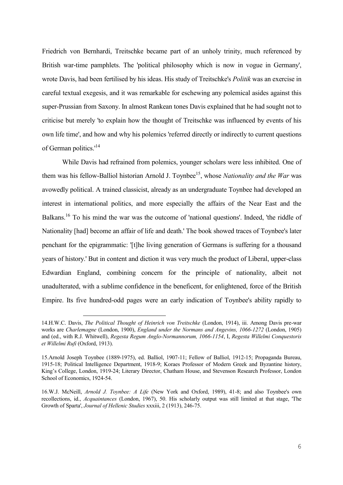Friedrich von Bernhardi, Treitschke became part of an unholy trinity, much referenced by British war-time pamphlets. The 'political philosophy which is now in vogue in Germany', wrote Davis, had been fertilised by his ideas. His study of Treitschke's *Politik* was an exercise in careful textual exegesis, and it was remarkable for eschewing any polemical asides against this super-Prussian from Saxony. In almost Rankean tones Davis explained that he had sought not to criticise but merely 'to explain how the thought of Treitschke was influenced by events of his own life time', and how and why his polemics 'referred directly or indirectly to current questions of German politics.<sup>'14</sup>

While Davis had refrained from polemics, younger scholars were less inhibited. One of them was his fellow-Balliol historian Arnold J. Toynbee<sup>15</sup>, whose *Nationality and the War* was avowedly political. A trained classicist, already as an undergraduate Toynbee had developed an interest in international politics, and more especially the affairs of the Near East and the Balkans.<sup>16</sup> To his mind the war was the outcome of 'national questions'. Indeed, 'the riddle of Nationality [had] become an affair of life and death.' The book showed traces of Toynbee's later penchant for the epigrammatic: '[t]he living generation of Germans is suffering for a thousand years of history.' But in content and diction it was very much the product of Liberal, upper-class Edwardian England, combining concern for the principle of nationality, albeit not unadulterated, with a sublime confidence in the beneficent, for enlightened, force of the British Empire. Its five hundred-odd pages were an early indication of Toynbee's ability rapidly to

<sup>14.</sup>H.W.C. Davis, *The Political Thought of Heinrich von Treitschke* (London, 1914), iii. Among Davis pre-war works are *Charlemagne* (London, 1900), *England under the Normans and Angevins, 1066-1272* (London, 1905) and (ed., with R.J. Whitwell), *Regesta Regum Anglo-Normannorum, 1066-1154*, I, *Regesta Willelmi Conquestoris et Willelmi Rufi* (Oxford, 1913).

<sup>15.</sup>Arnold Joseph Toynbee (1889-1975), ed. Balliol, 1907-11; Fellow of Balliol, 1912-15; Propaganda Bureau, 1915-18; Political Intelligence Department, 1918-9; Koraes Professor of Modern Greek and Byzantine history, King's College, London, 1919-24; Literary Director, Chatham House, and Stevenson Research Professor, London School of Economics, 1924-54.

<sup>16.</sup>W.J. McNeill, *Arnold J. Toynbee: A Life* (New York and Oxford, 1989), 41-8; and also Toynbee's own recollections, id., *Acquaintances* (London, 1967), 50. His scholarly output was still limited at that stage, 'The Growth of Sparta', *Journal of Hellenic Studies* xxxiii, 2 (1913), 246-75.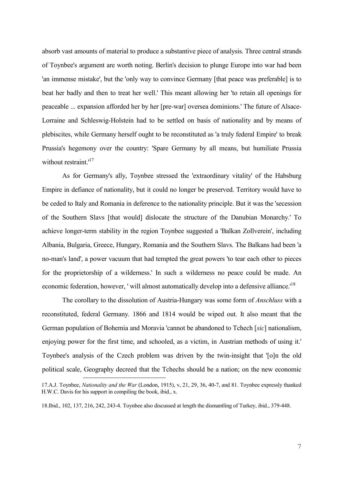absorb vast amounts of material to produce a substantive piece of analysis. Three central strands of Toynbee's argument are worth noting. Berlin's decision to plunge Europe into war had been 'an immense mistake', but the 'only way to convince Germany [that peace was preferable] is to beat her badly and then to treat her well.' This meant allowing her 'to retain all openings for peaceable ... expansion afforded her by her [pre-war] oversea dominions.' The future of Alsace-Lorraine and Schleswig-Holstein had to be settled on basis of nationality and by means of plebiscites, while Germany herself ought to be reconstituted as 'a truly federal Empire' to break Prussia's hegemony over the country: 'Spare Germany by all means, but humiliate Prussia without restraint.<sup>17</sup>

As for Germany's ally, Toynbee stressed the 'extraordinary vitality' of the Habsburg Empire in defiance of nationality, but it could no longer be preserved. Territory would have to be ceded to Italy and Romania in deference to the nationality principle. But it was the 'secession of the Southern Slavs [that would] dislocate the structure of the Danubian Monarchy.' To achieve longer-term stability in the region Toynbee suggested a 'Balkan Zollverein', including Albania, Bulgaria, Greece, Hungary, Romania and the Southern Slavs. The Balkans had been 'a no-man's land', a power vacuum that had tempted the great powers 'to tear each other to pieces for the proprietorship of a wilderness.' In such a wilderness no peace could be made. An economic federation, however, ' will almost automatically develop into a defensive alliance.<sup>18</sup>

The corollary to the dissolution of Austria-Hungary was some form of *Anschluss* with a reconstituted, federal Germany. 1866 and 1814 would be wiped out. It also meant that the German population of Bohemia and Moravia 'cannot be abandoned to Tchech [*sic*] nationalism, enjoying power for the first time, and schooled, as a victim, in Austrian methods of using it.' Toynbee's analysis of the Czech problem was driven by the twin-insight that '[o]n the old political scale, Geography decreed that the Tchechs should be a nation; on the new economic <u>—</u>

<sup>17.</sup>A.J. Toynbee, *Nationality and the War* (London, 1915), v, 21, 29, 36, 40-7, and 81. Toynbee expressly thanked H.W.C. Davis for his support in compiling the book, ibid., x.

<sup>18.</sup>Ibid., 102, 137, 216, 242, 243-4. Toynbee also discussed at length the dismantling of Turkey, ibid., 379-448.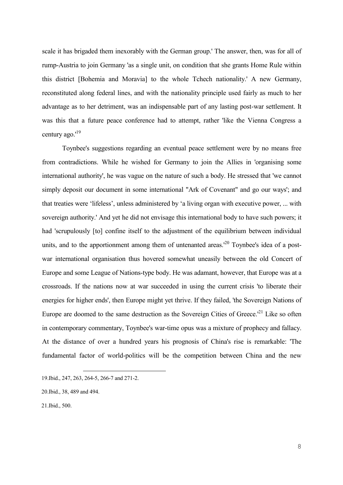scale it has brigaded them inexorably with the German group.' The answer, then, was for all of rump-Austria to join Germany 'as a single unit, on condition that she grants Home Rule within this district [Bohemia and Moravia] to the whole Tchech nationality.' A new Germany, reconstituted along federal lines, and with the nationality principle used fairly as much to her advantage as to her detriment, was an indispensable part of any lasting post-war settlement. It was this that a future peace conference had to attempt, rather 'like the Vienna Congress a century ago.'<sup>19</sup>

Toynbee's suggestions regarding an eventual peace settlement were by no means free from contradictions. While he wished for Germany to join the Allies in 'organising some international authority', he was vague on the nature of such a body. He stressed that 'we cannot simply deposit our document in some international "Ark of Covenant" and go our ways'; and that treaties were 'lifeless', unless administered by 'a living organ with executive power, ... with sovereign authority.' And yet he did not envisage this international body to have such powers; it had 'scrupulously [to] confine itself to the adjustment of the equilibrium between individual units, and to the apportionment among them of untenanted areas.<sup> $20$ </sup> Toynbee's idea of a postwar international organisation thus hovered somewhat uneasily between the old Concert of Europe and some League of Nations-type body. He was adamant, however, that Europe was at a crossroads. If the nations now at war succeeded in using the current crisis 'to liberate their energies for higher ends', then Europe might yet thrive. If they failed, 'the Sovereign Nations of Europe are doomed to the same destruction as the Sovereign Cities of Greece.<sup>'21</sup> Like so often in contemporary commentary, Toynbee's war-time opus was a mixture of prophecy and fallacy. At the distance of over a hundred years his prognosis of China's rise is remarkable: 'The fundamental factor of world-politics will be the competition between China and the new

<sup>19.</sup>Ibid., 247, 263, 264-5, 266-7 and 271-2.

<sup>20.</sup>Ibid., 38, 489 and 494.

<sup>21.</sup>Ibid., 500.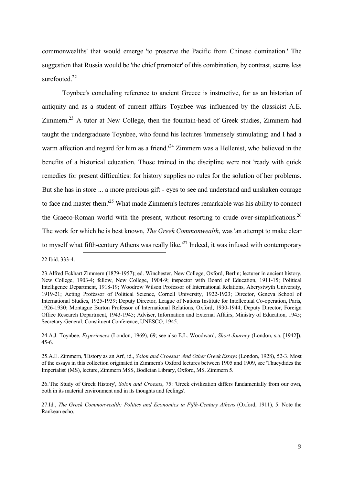commonwealths' that would emerge 'to preserve the Pacific from Chinese domination.' The suggestion that Russia would be 'the chief promoter' of this combination, by contrast, seems less surefooted. $22$ 

Toynbee's concluding reference to ancient Greece is instructive, for as an historian of antiquity and as a student of current affairs Toynbee was influenced by the classicist A.E. Zimmern.<sup>23</sup> A tutor at New College, then the fountain-head of Greek studies, Zimmern had taught the undergraduate Toynbee, who found his lectures 'immensely stimulating; and I had a warm affection and regard for him as a friend.<sup>24</sup> Zimmern was a Hellenist, who believed in the benefits of a historical education. Those trained in the discipline were not 'ready with quick remedies for present difficulties: for history supplies no rules for the solution of her problems. But she has in store ... a more precious gift - eyes to see and understand and unshaken courage to face and master them.<sup>125</sup> What made Zimmern's lectures remarkable was his ability to connect the Graeco-Roman world with the present, without resorting to crude over-simplifications.<sup>26</sup> The work for which he is best known, *The Greek Commonwealth*, was 'an attempt to make clear to myself what fifth-century Athens was really like.<sup> $27$ </sup> Indeed, it was infused with contemporary <u>—</u>

22.Ibid. 333-4.

24.A.J. Toynbee, *Experiences* (London, 1969), 69; see also E.L. Woodward, *Short Journey* (London, s.a. [1942]), 45-6.

25.A.E. Zimmern, 'History as an Art', id., *Solon and Croesus: And Other Greek Essays* (London, 1928), 52-3. Most of the essays in this collection originated in Zimmern's Oxford lectures between 1905 and 1909, see 'Thucydides the Imperialist' (MS), lecture, Zimmern MSS, Bodleian Library, Oxford, MS. Zimmern 5.

26.'The Study of Greek History', *Solon and Croesus*, 75: 'Greek civilization differs fundamentally from our own, both in its material environment and in its thoughts and feelings'.

27.Id., *The Greek Commonwealth: Politics and Economics in Fifth-Century Athens* (Oxford, 1911), 5. Note the Rankean echo.

<sup>23.</sup>Alfred Eckhart Zimmern (1879-1957); ed. Winchester, New College, Oxford, Berlin; lecturer in ancient history, New College, 1903-4; fellow, New College, 1904-9; inspector with Board of Education, 1911-15; Political Intelligence Department, 1918-19; Woodrow Wilson Professor of International Relations, Aberystwyth University, 1919-21; Acting Professor of Political Science, Cornell University, 1922-1923; Director, Geneva School of International Studies, 1925-1939; Deputy Director, League of Nations Institute for Intellectual Co-operation, Paris, 1926-1930; Montague Burton Professor of International Relations, Oxford, 1930-1944; Deputy Director, Foreign Office Research Department, 1943-1945; Adviser, Information and External Affairs, Ministry of Education, 1945; Secretary-General, Constituent Conference, UNESCO, 1945.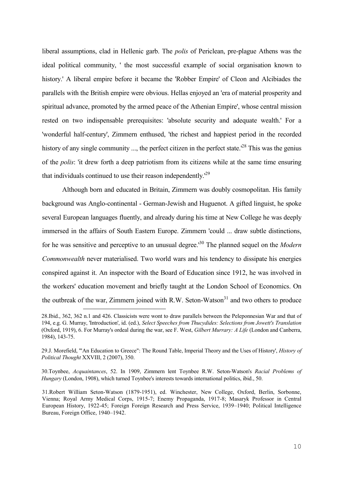liberal assumptions, clad in Hellenic garb. The *polis* of Periclean, pre-plague Athens was the ideal political community, ' the most successful example of social organisation known to history.' A liberal empire before it became the 'Robber Empire' of Cleon and Alcibiades the parallels with the British empire were obvious. Hellas enjoyed an 'era of material prosperity and spiritual advance, promoted by the armed peace of the Athenian Empire', whose central mission rested on two indispensable prerequisites: 'absolute security and adequate wealth.' For a 'wonderful half-century', Zimmern enthused, 'the richest and happiest period in the recorded history of any single community ..., the perfect citizen in the perfect state.<sup>128</sup> This was the genius of the *polis*: 'it drew forth a deep patriotism from its citizens while at the same time ensuring that individuals continued to use their reason independently.'<sup>29</sup>

Although born and educated in Britain, Zimmern was doubly cosmopolitan. His family background was Anglo-continental - German-Jewish and Huguenot. A gifted linguist, he spoke several European languages fluently, and already during his time at New College he was deeply immersed in the affairs of South Eastern Europe. Zimmern 'could ... draw subtle distinctions, for he was sensitive and perceptive to an unusual degree.'<sup>30</sup> The planned sequel on the *Modern Commonwealth* never materialised. Two world wars and his tendency to dissipate his energies conspired against it. An inspector with the Board of Education since 1912, he was involved in the workers' education movement and briefly taught at the London School of Economics. On the outbreak of the war, Zimmern joined with R.W. Seton-Watson<sup>31</sup> and two others to produce

<u>—</u>

30.Toynbee, *Acquaintances*, 52. In 1909, Zimmern lent Toynbee R.W. Seton-Watson's *Racial Problems of Hungary* (London, 1908), which turned Toynbee's interests towards international politics, ibid., 50.

<sup>28.</sup>Ibid., 362, 362 n.1 and 426. Classicists were wont to draw parallels between the Peleponnesian War and that of 194, e.g. G. Murray, 'Introduction', id. (ed.), *Select Speeches from Thucydides: Selections from Jowett's Translation* (Oxford, 1919), 6. For Murray's ordeal during the war, see F. West, *Gilbert Murrary: A Life* (London and Canberra, 1984), 143-75.

<sup>29.</sup>J. Morefield, '"An Education to Greece": The Round Table, Imperial Theory and the Uses of History', *History of Political Thought* XXVIII, 2 (2007), 350.

<sup>31.</sup>Robert William Seton-Watson (1879-1951), ed. Winchester, New College, Oxford, Berlin, Sorbonne, Vienna; Royal Army Medical Corps, 1915-7; Enemy Propaganda, 1917-8; Masaryk Professor in Central European History, 1922-45; Foreign Foreign Research and Press Service, 1939–1940; Political Intelligence Bureau, Foreign Office, 1940–1942.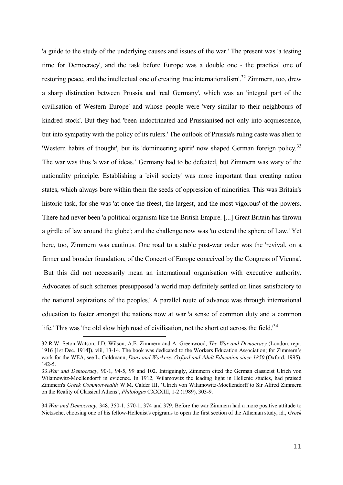'a guide to the study of the underlying causes and issues of the war.' The present was 'a testing time for Democracy', and the task before Europe was a double one - the practical one of restoring peace, and the intellectual one of creating 'true internationalism'.<sup>32</sup> Zimmern, too, drew a sharp distinction between Prussia and 'real Germany', which was an 'integral part of the civilisation of Western Europe' and whose people were 'very similar to their neighbours of kindred stock'. But they had 'been indoctrinated and Prussianised not only into acquiescence, but into sympathy with the policy of its rulers.' The outlook of Prussia's ruling caste was alien to 'Western habits of thought', but its 'domineering spirit' now shaped German foreign policy.<sup>33</sup> The war was thus 'a war of ideas.' Germany had to be defeated, but Zimmern was wary of the nationality principle. Establishing a 'civil society' was more important than creating nation states, which always bore within them the seeds of oppression of minorities. This was Britain's historic task, for she was 'at once the freest, the largest, and the most vigorous' of the powers. There had never been 'a political organism like the British Empire. [...] Great Britain has thrown a girdle of law around the globe'; and the challenge now was 'to extend the sphere of Law.' Yet here, too, Zimmern was cautious. One road to a stable post-war order was the 'revival, on a firmer and broader foundation, of the Concert of Europe conceived by the Congress of Vienna'. But this did not necessarily mean an international organisation with executive authority. Advocates of such schemes presupposed 'a world map definitely settled on lines satisfactory to the national aspirations of the peoples.' A parallel route of advance was through international education to foster amongst the nations now at war 'a sense of common duty and a common life.' This was 'the old slow high road of civilisation, not the short cut across the field.'<sup>34</sup>

<sup>32.</sup>R.W. Seton-Watson, J.D. Wilson, A.E. Zimmern and A. Greenwood, *The War and Democracy* (London, repr. 1916 [1st Dec. 1914]), viii, 13-14. The book was dedicated to the Workers Education Association; for Zimmern's work for the WEA, see L. Goldmann, *Dons and Workers: Oxford and Adult Education since 1850* (Oxford, 1995), 142-5.

<sup>33.</sup>*War and Democracy*, 90-1, 94-5, 99 and 102. Intriguingly, Zimmern cited the German classicist Ulrich von Wilamowitz-Moellendorff in evidence. In 1912, Wilamowitz the leading light in Hellenic studies, had praised Zimmern's *Greek Commonwealth* W.M. Calder III, 'Ulrich von Wilamowitz-Moellendorff to Sir Alfred Zimmern on the Reality of Classical Athens', *Philologus* CXXXIII, 1-2 (1989), 303-9.

<sup>34.</sup>*War and Democracy*, 348, 350-1, 370-1, 374 and 379. Before the war Zimmern had a more positive attitude to Nietzsche, choosing one of his fellow-Hellenist's epigrams to open the first section of the Athenian study, id., *Greek*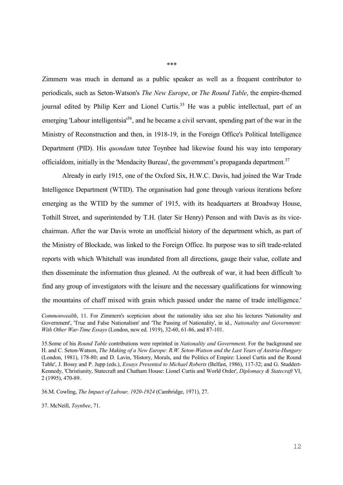Zimmern was much in demand as a public speaker as well as a frequent contributor to periodicals, such as Seton-Watson's *The New Europe*, or *The Round Table*, the empire-themed journal edited by Philip Kerr and Lionel Curtis.<sup>35</sup> He was a public intellectual, part of an emerging 'Labour intelligentsia<sup>36</sup>, and he became a civil servant, spending part of the war in the Ministry of Reconstruction and then, in 1918-19, in the Foreign Office's Political Intelligence Department (PID). His *quondam* tutee Toynbee had likewise found his way into temporary officialdom, initially in the 'Mendacity Bureau', the government's propaganda department.<sup>37</sup>

Already in early 1915, one of the Oxford Six, H.W.C. Davis, had joined the War Trade Intelligence Department (WTID). The organisation had gone through various iterations before emerging as the WTID by the summer of 1915, with its headquarters at Broadway House, Tothill Street, and superintended by T.H. (later Sir Henry) Penson and with Davis as its vicechairman. After the war Davis wrote an unofficial history of the department which, as part of the Ministry of Blockade, was linked to the Foreign Office. Its purpose was to sift trade-related reports with which Whitehall was inundated from all directions, gauge their value, collate and then disseminate the information thus gleaned. At the outbreak of war, it had been difficult 'to find any group of investigators with the leisure and the necessary qualifications for winnowing the mountains of chaff mixed with grain which passed under the name of trade intelligence.' <u>—</u>

36.M. Cowling, *The Impact of Labour, 1920-1924* (Cambridge, 1971), 27.

37. McNeill, *Toynbee*, 71.

*Commonwealth*, 11. For Zimmern's scepticism about the nationality idea see also his lectures 'Nationality and Government', 'True and False Nationalism' and 'The Passing of Nationality', in id., *Nationality and Government: With Other War-Time Essays* (London, new ed. 1919), 32-60, 61-86, and 87-101.

<sup>35.</sup>Some of his *Round Table* contributions were reprinted in *Nationality and Government*. For the background see H. and C. Seton-Watson, *The Making of a New Europe: R.W. Seton-Watson and the Last Years of Austria-Hungary*  (London, 1981), 178-80; and D. Lavin, 'History, Morals, and the Politics of Empire: Lionel Curtis and the Round Table', J. Bossy and P. Jupp (eds.), *Essays Presented to Michael Roberts* (Belfast, 1986), 117-32; and G. Studdert-Kennedy, 'Christianity, Statecraft and Chatham House: Lionel Curtis and World Order', *Diplomacy & Statecraft* VI, 2 (1995), 470-89.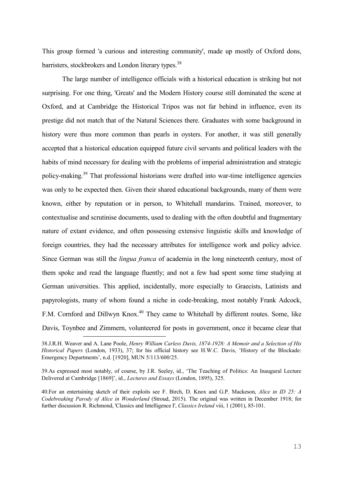This group formed 'a curious and interesting community', made up mostly of Oxford dons, barristers, stockbrokers and London literary types.<sup>38</sup>

The large number of intelligence officials with a historical education is striking but not surprising. For one thing, 'Greats' and the Modern History course still dominated the scene at Oxford, and at Cambridge the Historical Tripos was not far behind in influence, even its prestige did not match that of the Natural Sciences there. Graduates with some background in history were thus more common than pearls in oysters. For another, it was still generally accepted that a historical education equipped future civil servants and political leaders with the habits of mind necessary for dealing with the problems of imperial administration and strategic policy-making.<sup>39</sup> That professional historians were drafted into war-time intelligence agencies was only to be expected then. Given their shared educational backgrounds, many of them were known, either by reputation or in person, to Whitehall mandarins. Trained, moreover, to contextualise and scrutinise documents, used to dealing with the often doubtful and fragmentary nature of extant evidence, and often possessing extensive linguistic skills and knowledge of foreign countries, they had the necessary attributes for intelligence work and policy advice. Since German was still the *lingua franca* of academia in the long nineteenth century, most of them spoke and read the language fluently; and not a few had spent some time studying at German universities. This applied, incidentally, more especially to Graecists, Latinists and papyrologists, many of whom found a niche in code-breaking, most notably Frank Adcock, F.M. Cornford and Dillwyn Knox.<sup>40</sup> They came to Whitehall by different routes. Some, like Davis, Toynbee and Zimmern, volunteered for posts in government, once it became clear that

<sup>38.</sup>J.R.H. Weaver and A. Lane Poole, *Henry William Carless Davis, 1874-1928: A Memoir and a Selection of His Historical Papers* (London, 1933), 37; for his official history see H.W.C. Davis, 'History of the Blockade: Emergency Departments', n.d. [1920], MUN 5/113/600/25.

<sup>39.</sup>As expressed most notably, of course, by J.R. Seeley, id., 'The Teaching of Politics: An Inaugural Lecture Delivered at Cambridge [1869]', id., *Lectures and Essays* (London, 1895), 325.

<sup>40.</sup>For an entertaining sketch of their exploits see F. Birch, D. Knox and G.P. Mackeson, *Alice in ID 25: A Codebreaking Parody of Alice in Wonderland* (Stroud, 2015). The original was written in December 1918; for further discussion R. Richmond, 'Classics and Intelligence I', *Classics Ireland* viii, 1 (2001), 85-101.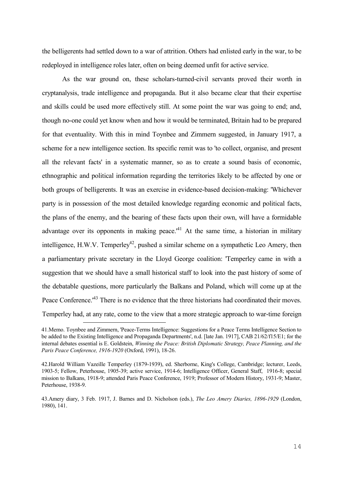the belligerents had settled down to a war of attrition. Others had enlisted early in the war, to be redeployed in intelligence roles later, often on being deemed unfit for active service.

As the war ground on, these scholars-turned-civil servants proved their worth in cryptanalysis, trade intelligence and propaganda. But it also became clear that their expertise and skills could be used more effectively still. At some point the war was going to end; and, though no-one could yet know when and how it would be terminated, Britain had to be prepared for that eventuality. With this in mind Toynbee and Zimmern suggested, in January 1917, a scheme for a new intelligence section. Its specific remit was to 'to collect, organise, and present all the relevant facts' in a systematic manner, so as to create a sound basis of economic, ethnographic and political information regarding the territories likely to be affected by one or both groups of belligerents. It was an exercise in evidence-based decision-making: 'Whichever party is in possession of the most detailed knowledge regarding economic and political facts, the plans of the enemy, and the bearing of these facts upon their own, will have a formidable advantage over its opponents in making peace.<sup> $41$ </sup> At the same time, a historian in military intelligence, H.W.V. Temperley<sup>42</sup>, pushed a similar scheme on a sympathetic Leo Amery, then a parliamentary private secretary in the Lloyd George coalition: 'Temperley came in with a suggestion that we should have a small historical staff to look into the past history of some of the debatable questions, more particularly the Balkans and Poland, which will come up at the Peace Conference.<sup>43</sup> There is no evidence that the three historians had coordinated their moves. Temperley had, at any rate, come to the view that a more strategic approach to war-time foreign

<sup>41.</sup>Memo. Toynbee and Zimmern, 'Peace-Terms Intelligence: Suggestions for a Peace Terms Intelligence Section to be added to the Existing Intelligence and Propaganda Departments', n.d. [late Jan. 1917], CAB 21/62/f15/E1; for the internal debates essential is E. Goldstein, *Winning the Peace: British Diplomatic Strategy, Peace Planning, and the Paris Peace Conference, 1916-1920* (Oxford, 1991), 18-26.

<sup>42.</sup>Harold William Vazeille Temperley (1879-1939), ed. Sherborne, King's College, Cambridge; lecturer, Leeds, 1903-5; Fellow, Peterhouse, 1905-39; active service, 1914-6; Intelligence Officer, General Staff, 1916-8; special mission to Balkans, 1918-9; attended Paris Peace Conference, 1919; Professor of Modern History, 1931-9; Master, Peterhouse, 1938-9.

<sup>43.</sup>Amery diary, 3 Feb. 1917, J. Barnes and D. Nicholson (eds.), *The Leo Amery Diaries, 1896-1929* (London, 1980), 141.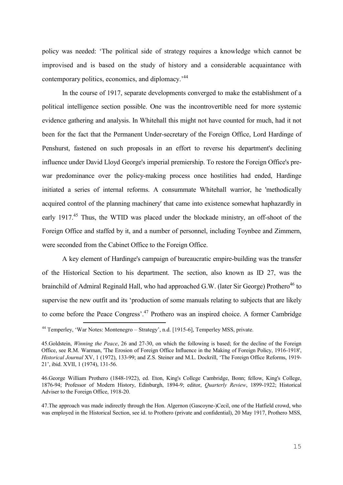policy was needed: 'The political side of strategy requires a knowledge which cannot be improvised and is based on the study of history and a considerable acquaintance with contemporary politics, economics, and diplomacy.'<sup>44</sup>

In the course of 1917, separate developments converged to make the establishment of a political intelligence section possible. One was the incontrovertible need for more systemic evidence gathering and analysis. In Whitehall this might not have counted for much, had it not been for the fact that the Permanent Under-secretary of the Foreign Office, Lord Hardinge of Penshurst, fastened on such proposals in an effort to reverse his department's declining influence under David Lloyd George's imperial premiership. To restore the Foreign Office's prewar predominance over the policy-making process once hostilities had ended, Hardinge initiated a series of internal reforms. A consummate Whitehall warrior, he 'methodically acquired control of the planning machinery' that came into existence somewhat haphazardly in early 1917.<sup>45</sup> Thus, the WTID was placed under the blockade ministry, an off-shoot of the Foreign Office and staffed by it, and a number of personnel, including Toynbee and Zimmern, were seconded from the Cabinet Office to the Foreign Office.

A key element of Hardinge's campaign of bureaucratic empire-building was the transfer of the Historical Section to his department. The section, also known as ID 27, was the brainchild of Admiral Reginald Hall, who had approached G.W. (later Sir George) Prothero<sup>46</sup> to supervise the new outfit and its 'production of some manuals relating to subjects that are likely to come before the Peace Congress'.<sup>47</sup> Prothero was an inspired choice. A former Cambridge <u>—</u>

<sup>44</sup> Temperley, 'War Notes: Montenegro – Strategy', n.d. [1915-6], Temperley MSS, private.

<sup>45.</sup>Goldstein, *Winning the Peace*, 26 and 27-30, on which the following is based; for the decline of the Foreign Office, see R.M. Warman, 'The Erosion of Foreign Office Influence in the Making of Foreign Policy, 1916-1918', *Historical Journal* XV, 1 (1972), 133-99; and Z.S. Steiner and M.L. Dockrill, 'The Foreign Office Reforms, 1919- 21', ibid. XVII, 1 (1974), 131-56.

<sup>46.</sup>George William Prothero (1848-1922), ed. Eton, King's College Cambridge, Bonn; fellow, King's College, 1876-94; Professor of Modern History, Edinburgh, 1894-9; editor, *Quarterly Review*, 1899-1922; Historical Adviser to the Foreign Office, 1918-20.

<sup>47.</sup>The approach was made indirectly through the Hon. Algernon (Gascoyne-)Cecil, one of the Hatfield crowd, who was employed in the Historical Section, see id. to Prothero (private and confidential), 20 May 1917, Prothero MSS,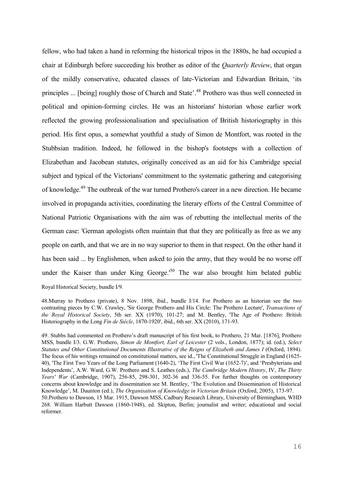fellow, who had taken a hand in reforming the historical tripos in the 1880s, he had occupied a chair at Edinburgh before succeeding his brother as editor of the *Quarterly Review*, that organ of the mildly conservative, educated classes of late-Victorian and Edwardian Britain, 'its principles ... [being] roughly those of Church and State'.<sup>48</sup> Prothero was thus well connected in political and opinion-forming circles. He was an historians' historian whose earlier work reflected the growing professionalisation and specialisation of British historiography in this period. His first opus, a somewhat youthful a study of Simon de Montfort, was rooted in the Stubbsian tradition. Indeed, he followed in the bishop's footsteps with a collection of Elizabethan and Jacobean statutes, originally conceived as an aid for his Cambridge special subject and typical of the Victorians' commitment to the systematic gathering and categorising of knowledge.<sup>49</sup> The outbreak of the war turned Prothero's career in a new direction. He became involved in propaganda activities, coordinating the literary efforts of the Central Committee of National Patriotic Organisations with the aim was of rebutting the intellectual merits of the German case: 'German apologists often maintain that that they are politically as free as we any people on earth, and that we are in no way superior to them in that respect. On the other hand it has been said ... by Englishmen, when asked to join the army, that they would be no worse off under the Kaiser than under King George.<sup>50</sup> The war also brought him belated public <u>—</u> Royal Historical Society, bundle I/9.

48.Murray to Prothero (private), 8 Nov. 1898, ibid., bundle I/14. For Prothero as an historian see the two contrasting pieces by C.W. Crawley, 'Sir George Prothero and His Circle: The Prothero Lecture', *Transactions of the Royal Historical Society*, 5th ser. XX (1970), 101-27; and M. Bentley, 'The Age of Prothero: British Historiography in the Long *Fin de Siècle*, 1870-1920', ibid., 6th ser. XX (2010), 171-93.

49. Stubbs had commented on Prothero's draft manuscript of his first book, to Prothero, 21 Mar. [1876], Prothero MSS, bundle I/3. G.W. Prothero, *Simon de Montfort, Earl of Leicester* (2 vols., London, 1877); id. (ed.), *Select Statutes and Other Constitutional Documents Illustrative of the Reigns of Elizabeth and James I* (Oxford, 1894). The focus of his writings remained on constitutional matters, see id., 'The Constitutional Struggle in England (1625- 40), 'The First Two Years of the Long Parliament (1640-2), 'The First Civil War (1652-7)', and 'Presbyterians and Independents', A.W. Ward, G.W. Prothero and S. Leathes (eds.), *The Cambridge Modern History*, IV, *The Thirty Years' War* (Cambridge, 1907), 256-85, 298-301, 302-36 and 336-55. For further thoughts on contemporary concerns about knowledge and its dissemination see M. Bentley, 'The Evolution and Dissemination of Historical Knowledge', M. Daunton (ed.), *The Organisation of Knowledge in Victorian Britain* (Oxford, 2005), 173-97. 50.Prothero to Dawson, 15 Mar. 1915, Dawson MSS, Cadbury Research Library, University of Birmingham, WHD 268. William Harbutt Dawson (1860-1948), ed. Skipton, Berlin; journalist and writer; educational and social reformer.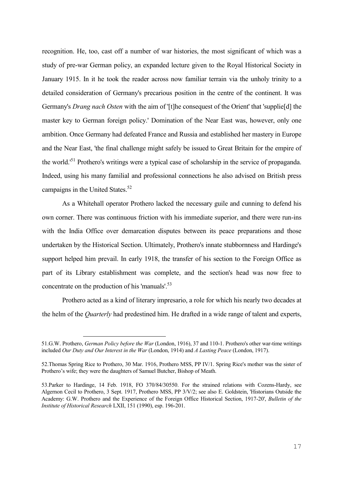recognition. He, too, cast off a number of war histories, the most significant of which was a study of pre-war German policy, an expanded lecture given to the Royal Historical Society in January 1915. In it he took the reader across now familiar terrain via the unholy trinity to a detailed consideration of Germany's precarious position in the centre of the continent. It was Germany's *Drang nach Osten* with the aim of '[t]he consequest of the Orient' that 'supplie[d] the master key to German foreign policy.' Domination of the Near East was, however, only one ambition. Once Germany had defeated France and Russia and established her mastery in Europe and the Near East, 'the final challenge might safely be issued to Great Britain for the empire of the world.'<sup>51</sup> Prothero's writings were a typical case of scholarship in the service of propaganda. Indeed, using his many familial and professional connections he also advised on British press campaigns in the United States.<sup>52</sup>

As a Whitehall operator Prothero lacked the necessary guile and cunning to defend his own corner. There was continuous friction with his immediate superior, and there were run-ins with the India Office over demarcation disputes between its peace preparations and those undertaken by the Historical Section. Ultimately, Prothero's innate stubbornness and Hardinge's support helped him prevail. In early 1918, the transfer of his section to the Foreign Office as part of its Library establishment was complete, and the section's head was now free to concentrate on the production of his 'manuals'.<sup>53</sup>

Prothero acted as a kind of literary impresario, a role for which his nearly two decades at the helm of the *Quarterly* had predestined him. He drafted in a wide range of talent and experts,

<sup>51.</sup>G.W. Prothero, *German Policy before the War* (London, 1916), 37 and 110-1. Prothero's other war-time writings included *Our Duty and Our Interest in the War* (London, 1914) and *A Lasting Peace* (London, 1917).

<sup>52.</sup>Thomas Spring Rice to Prothero, 30 Mar. 1916, Prothero MSS, PP IV/1. Spring Rice's mother was the sister of Prothero's wife; they were the daughters of Samuel Butcher, Bishop of Meath.

<sup>53.</sup>Parker to Hardinge, 14 Feb. 1918, FO 370/84/30550. For the strained relations with Cozens-Hardy, see Algernon Cecil to Prothero, 3 Sept. 1917, Prothero MSS, PP 3/V/2; see also E. Goldstein, 'Historians Outside the Academy: G.W. Prothero and the Experience of the Foreign Office Historical Section, 1917-20', *Bulletin of the Institute of Historical Research* LXII, 151 (1990), esp. 196-201.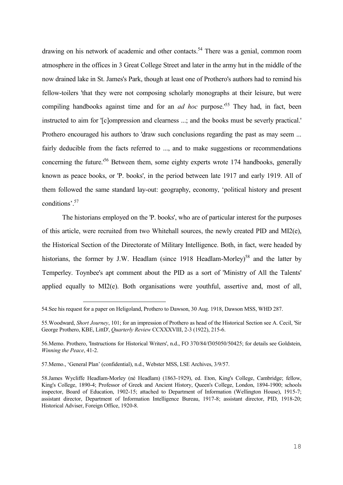drawing on his network of academic and other contacts.<sup>54</sup> There was a genial, common room atmosphere in the offices in 3 Great College Street and later in the army hut in the middle of the now drained lake in St. James's Park, though at least one of Prothero's authors had to remind his fellow-toilers 'that they were not composing scholarly monographs at their leisure, but were compiling handbooks against time and for an *ad hoc* purpose.<sup>55</sup> They had, in fact, been instructed to aim for '[c]ompression and clearness ...; and the books must be severly practical.' Prothero encouraged his authors to 'draw such conclusions regarding the past as may seem ... fairly deducible from the facts referred to ..., and to make suggestions or recommendations concerning the future.<sup>56</sup> Between them, some eighty experts wrote 174 handbooks, generally known as peace books, or 'P. books', in the period between late 1917 and early 1919. All of them followed the same standard lay-out: geography, economy, 'political history and present conditions'.<sup>57</sup>

The historians employed on the 'P. books', who are of particular interest for the purposes of this article, were recruited from two Whitehall sources, the newly created PID and MI2(e), the Historical Section of the Directorate of Military Intelligence. Both, in fact, were headed by historians, the former by J.W. Headlam (since 1918 Headlam-Morley)<sup>58</sup> and the latter by Temperley. Toynbee's apt comment about the PID as a sort of 'Ministry of All the Talents' applied equally to MI2(e). Both organisations were youthful, assertive and, most of all,

<sup>54.</sup>See his request for a paper on Heligoland, Prothero to Dawson, 30 Aug. 1918, Dawson MSS, WHD 287.

<sup>55.</sup>Woodward, *Short Journey*, 101; for an impression of Prothero as head of the Historical Section see A. Cecil, 'Sir George Prothero, KBE, LittD', *Quarterly Review* CCXXXVIII, 2-3 (1922), 215-6.

<sup>56.</sup>Memo. Prothero, 'Instructions for Historical Writers', n.d., FO 370/84/f305050/50425; for details see Goldstein, *Winning the Peace*, 41-2.

<sup>57.</sup>Memo., 'General Plan' (confidential), n.d., Webster MSS, LSE Archives, 3/9/57.

<sup>58.</sup>James Wycliffe Headlam-Morley (né Headlam) (1863-1929), ed. Eton, King's College, Cambridge; fellow, King's College, 1890-4; Professor of Greek and Ancient History, Queen's College, London, 1894-1900; schools inspector, Board of Education, 1902-15; attached to Department of Information (Wellington House), 1915-7; assistant director, Department of Information Intelligence Bureau, 1917-8; assistant director, PID, 1918-20; Historical Adviser, Foreign Office, 1920-8.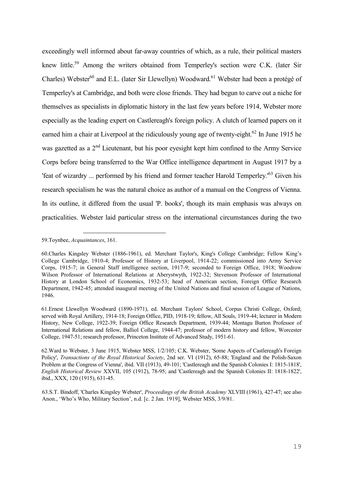exceedingly well informed about far-away countries of which, as a rule, their political masters knew little.<sup>59</sup> Among the writers obtained from Temperley's section were C.K. (later Sir Charles) Webster<sup>60</sup> and E.L. (later Sir Llewellyn) Woodward.<sup>61</sup> Webster had been a protégé of Temperley's at Cambridge, and both were close friends. They had begun to carve out a niche for themselves as specialists in diplomatic history in the last few years before 1914, Webster more especially as the leading expert on Castlereagh's foreign policy. A clutch of learned papers on it earned him a chair at Liverpool at the ridiculously young age of twenty-eight.<sup>62</sup> In June 1915 he was gazetted as a 2<sup>nd</sup> Lieutenant, but his poor eyesight kept him confined to the Army Service Corps before being transferred to the War Office intelligence department in August 1917 by a 'feat of wizardry ... performed by his friend and former teacher Harold Temperley.'<sup>63</sup> Given his research specialism he was the natural choice as author of a manual on the Congress of Vienna. In its outline, it differed from the usual 'P. books', though its main emphasis was always on practicalities. Webster laid particular stress on the international circumstances during the two

59.Toynbee, *Acquaintances*, 161.

-

<sup>60.</sup>Charles Kingsley Webster (1886-1961), ed. Merchant Taylor's, King's College Cambridge; Fellow King's College Cambridge, 1910-4; Professor of History at Liverpool, 1914-22; commissioned into Army Service Corps, 1915-7; in General Staff intelligence section, 1917-9; seconded to Foreign Office, 1918; Woodrow Wilson Professor of International Relations at Aberystwyth, 1922-32; Stevenson Professor of International History at London School of Economics, 1932-53; head of American section, Foreign Office Research Department, 1942-45; attended inaugural meeting of the United Nations and final session of League of Nations, 1946.

<sup>61.</sup>Ernest Llewellyn Woodward (1890-1971), ed. Merchant Taylors' School, Corpus Christi College, Oxford; served with Royal Artillery, 1914-18; Foreign Office, PID, 1918-19; fellow, All Souls, 1919-44; lecturer in Modern History, New College, 1922-39; Foreign Office Research Department, 1939-44; Montagu Burton Professor of International Relations and fellow, Balliol College, 1944-47; professor of modern history and fellow, Worcester College, 1947-51; research professor, Princeton Institute of Advanced Study, 1951-61.

<sup>62.</sup>Ward to Webster, 3 June 1915, Webster MSS, 1/2/105; C.K. Webster, 'Some Aspects of Castlereagh's Foreign Policy', *Transactions of the Royal Historical Society*, 2nd ser. VI (1912), 65-88; 'England and the Polish-Saxon Problem at the Congress of Vienna', ibid. VII (1913), 49-101; 'Castlereagh and the Spanish Colonies I: 1815-1818', *English Historical Review* XXVII, 105 (1912), 78-95; and 'Castlereagh and the Spanish Colonies II: 1818-1822', ibid., XXX, 120 (1915), 631-45.

<sup>63.</sup>S.T. Bindoff, 'Charles Kingsley Webster', *Proceedings of the British Academy* XLVIII (1961), 427-47; see also Anon., 'Who's Who, Military Section', n.d. [c. 2 Jan. 1919], Webster MSS, 3/9/81.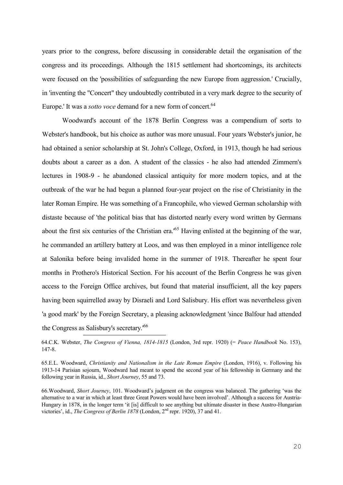years prior to the congress, before discussing in considerable detail the organisation of the congress and its proceedings. Although the 1815 settlement had shortcomings, its architects were focused on the 'possibilities of safeguarding the new Europe from aggression.' Crucially, in 'inventing the "Concert" they undoubtedly contributed in a very mark degree to the security of Europe.' It was a *sotto voce* demand for a new form of concert.<sup>64</sup>

Woodward's account of the 1878 Berlin Congress was a compendium of sorts to Webster's handbook, but his choice as author was more unusual. Four years Webster's junior, he had obtained a senior scholarship at St. John's College, Oxford, in 1913, though he had serious doubts about a career as a don. A student of the classics - he also had attended Zimmern's lectures in 1908-9 - he abandoned classical antiquity for more modern topics, and at the outbreak of the war he had begun a planned four-year project on the rise of Christianity in the later Roman Empire. He was something of a Francophile, who viewed German scholarship with distaste because of 'the political bias that has distorted nearly every word written by Germans about the first six centuries of the Christian era.<sup>65</sup> Having enlisted at the beginning of the war, he commanded an artillery battery at Loos, and was then employed in a minor intelligence role at Salonika before being invalided home in the summer of 1918. Thereafter he spent four months in Prothero's Historical Section. For his account of the Berlin Congress he was given access to the Foreign Office archives, but found that material insufficient, all the key papers having been squirrelled away by Disraeli and Lord Salisbury. His effort was nevertheless given 'a good mark' by the Foreign Secretary, a pleasing acknowledgment 'since Balfour had attended the Congress as Salisbury's secretary.'<sup>66</sup> <u>—</u>

66.Woodward, *Short Journey*, 101. Woodward's judgment on the congress was balanced. The gathering 'was the alternative to a war in which at least three Great Powers would have been involved'. Although a success for Austria-Hungary in 1878, in the longer term 'it [is] difficult to see anything but ultimate disaster in these Austro-Hungarian victories', id., *The Congress of Berlin 1878* (London, 2<sup>nd</sup> repr. 1920), 37 and 41.

<sup>64.</sup>C.K. Webster, *The Congress of Vienna, 1814-1815* (London, 3rd repr. 1920) (= *Peace Handbook* No. 153), 147-8.

<sup>65.</sup>E.L. Woodward, *Christianity and Nationalism in the Late Roman Empire* (London, 1916), v. Following his 1913-14 Parisian sojourn, Woodward had meant to spend the second year of his fellowship in Germany and the following year in Russia, id., *Short Journey*, 55 and 73.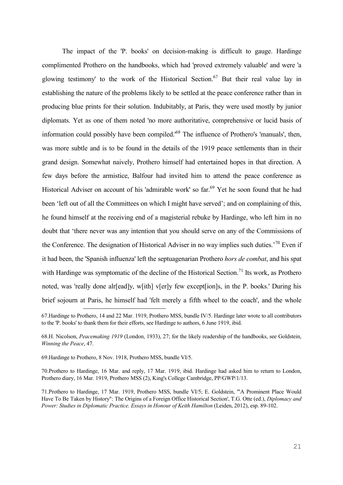The impact of the 'P. books' on decision-making is difficult to gauge. Hardinge complimented Prothero on the handbooks, which had 'proved extremely valuable' and were 'a glowing testimony' to the work of the Historical Section.<sup>67</sup> But their real value lay in establishing the nature of the problems likely to be settled at the peace conference rather than in producing blue prints for their solution. Indubitably, at Paris, they were used mostly by junior diplomats. Yet as one of them noted 'no more authoritative, comprehensive or lucid basis of information could possibly have been compiled.<sup>68</sup> The influence of Prothero's 'manuals', then, was more subtle and is to be found in the details of the 1919 peace settlements than in their grand design. Somewhat naively, Prothero himself had entertained hopes in that direction. A few days before the armistice, Balfour had invited him to attend the peace conference as Historical Adviser on account of his 'admirable work' so far.<sup>69</sup> Yet he soon found that he had been 'left out of all the Committees on which I might have served'; and on complaining of this, he found himself at the receiving end of a magisterial rebuke by Hardinge, who left him in no doubt that 'there never was any intention that you should serve on any of the Commissions of the Conference. The designation of Historical Adviser in no way implies such duties.<sup>70</sup> Even if it had been, the 'Spanish influenza' left the septuagenarian Prothero *hors de combat*, and his spat with Hardinge was symptomatic of the decline of the Historical Section.<sup>71</sup> Its work, as Prothero noted, was 'really done alr[ead]y, w[ith] v[er]y few except[ion]s, in the P. books.' During his brief sojourn at Paris, he himself had 'felt merely a fifth wheel to the coach', and the whole

69.Hardinge to Prothero, 8 Nov. 1918, Prothero MSS, bundle VI/5.

<u>—</u>

70.Prothero to Hardinge, 16 Mar. and reply, 17 Mar. 1919, ibid. Hardinge had asked him to return to London, Prothero diary, 16 Mar. 1919, Prothero MSS (2), King's College Cambridge, PP/GWP/1/13.

<sup>67.</sup>Hardinge to Prothero, 14 and 22 Mar. 1919, Prothero MSS, bundle IV/5. Hardinge later wrote to all contributors to the 'P. books' to thank them for their efforts, see Hardinge to authors, 6 June 1919, ibid.

<sup>68.</sup>H. Nicolson, *Peacemaking 1919* (London, 1933), 27; for the likely readership of the handbooks, see Goldstein, *Winning the Peace*, 47.

<sup>71.</sup>Prothero to Hardinge, 17 Mar. 1919, Prothero MSS, bundle VI/5; E. Goldstein, '"A Prominent Place Would Have To Be Taken by History": The Origins of a Foreign Office Historical Section', T.G. Otte (ed.), *Diplomacy and Power: Studies in Diplomatic Practice. Essays in Honour of Keith Hamilton* (Leiden, 2012), esp. 89-102.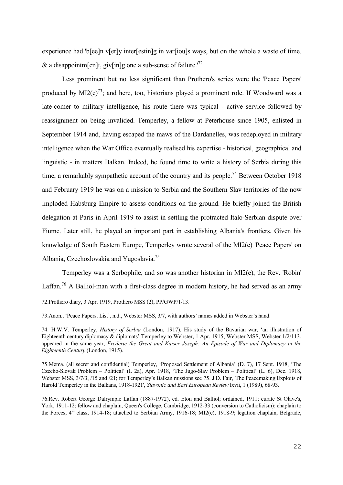experience had 'b[ee]n v[er]y inter[estin]g in var[iou]s ways, but on the whole a waste of time, & a disappointm[en]t, giv[in]g one a sub-sense of failure.<sup>'72</sup>

Less prominent but no less significant than Prothero's series were the 'Peace Papers' produced by  $MI2(e)^{73}$ ; and here, too, historians played a prominent role. If Woodward was a late-comer to military intelligence, his route there was typical - active service followed by reassignment on being invalided. Temperley, a fellow at Peterhouse since 1905, enlisted in September 1914 and, having escaped the maws of the Dardanelles, was redeployed in military intelligence when the War Office eventually realised his expertise - historical, geographical and linguistic - in matters Balkan. Indeed, he found time to write a history of Serbia during this time, a remarkably sympathetic account of the country and its people.<sup>74</sup> Between October 1918 and February 1919 he was on a mission to Serbia and the Southern Slav territories of the now imploded Habsburg Empire to assess conditions on the ground. He briefly joined the British delegation at Paris in April 1919 to assist in settling the protracted Italo-Serbian dispute over Fiume. Later still, he played an important part in establishing Albania's frontiers. Given his knowledge of South Eastern Europe, Temperley wrote several of the MI2(e) 'Peace Papers' on Albania, Czechoslovakia and Yugoslavia.<sup>75</sup>

Temperley was a Serbophile, and so was another historian in MI2(e), the Rev. 'Robin' Laffan.<sup>76</sup> A Balliol-man with a first-class degree in modern history, he had served as an army <u>—</u>

72.Prothero diary, 3 Apr. 1919, Prothero MSS (2), PP/GWP/1/13.

73.Anon., 'Peace Papers. List', n.d., Webster MSS, 3/7, with authors' names added in Webster's hand.

74. H.W.V. Temperley, *History of Serbia* (London, 1917). His study of the Bavarian war, 'an illustration of Eighteenth century diplomacy & diplomats' Temperley to Webster, 1 Apr. 1915, Webster MSS, Webster 1/2/113, appeared in the same year, *Frederic the Great and Kaiser Joseph: An Episode of War and Diplomacy in the Eighteenth Century* (London, 1915).

75.Mema. (all secret and confidential) Temperley, 'Proposed Settlement of Albania' (D. 7), 17 Sept. 1918, 'The Czecho-Slovak Problem – Political' (I. 2a), Apr. 1918, 'The Jugo-Slav Problem – Political' (L. 6), Dec. 1918, Webster MSS,  $3/7/3$ ,  $/15$  and  $/21$ ; for Temperley's Balkan missions see 75. J.D. Fair, 'The Peacemaking Exploits of Harold Temperley in the Balkans, 1918-1921', *Slavonic and East European Review* lxvii, 1 (1989), 68-93.

76.Rev. Robert George Dalrymple Laffan (1887-1972), ed. Eton and Balliol; ordained, 1911; curate St Olave's, York, 1911-12; fellow and chaplain, Queen's College, Cambridge, 1912-33 (conversion to Catholicism); chaplain to the Forces, 4<sup>th</sup> class, 1914-18; attached to Serbian Army, 1916-18; MI2(e), 1918-9; legation chaplain, Belgrade,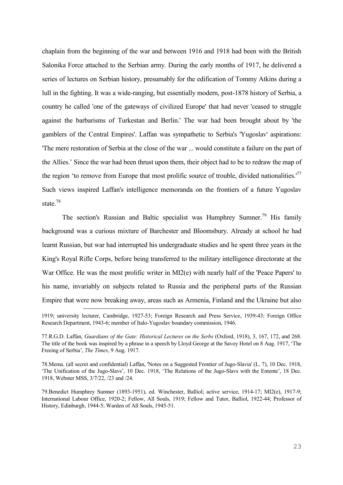chaplain from the beginning of the war and between 1916 and 1918 had been with the British Salonika Force attached to the Serbian army. During the early months of 1917, he delivered a series of lectures on Serbian history, presumably for the edification of Tommy Atkins during a lull in the fighting. It was a wide-ranging, but essentially modern, post-1878 history of Serbia, a country he called 'one of the gateways of civilized Europe' that had never 'ceased to struggle against the barbarisms of Turkestan and Berlin.' The war had been brought about by 'the gamblers of the Central Empires'. Laffan was sympathetic to Serbia's 'Yugoslav' aspirations: 'The mere restoration of Serbia at the close of the war ... would constitute a failure on the part of the Allies.' Since the war had been thrust upon them, their object had to be to redraw the map of the region 'to remove from Europe that most prolific source of trouble, divided nationalities.<sup>'77</sup> Such views inspired Laffan's intelligence memoranda on the frontiers of a future Yugoslav state.<sup>78</sup>

The section's Russian and Baltic specialist was Humphrey Sumner.<sup>79</sup> His family background was a curious mixture of Barchester and Bloomsbury. Already at school he had learnt Russian, but war had interrupted his undergraduate studies and he spent three years in the King's Royal Rifle Corps, before being transferred to the military intelligence directorate at the War Office. He was the most prolific writer in MI2(e) with nearly half of the 'Peace Papers' to his name, invariably on subjects related to Russia and the peripheral parts of the Russian Empire that were now breaking away, areas such as Armenia, Finland and the Ukraine but also

<u>—</u>

77.R.G.D. Laffan, *Guardians of the Gate: Historical Lectures on the Serbs* (Oxford, 1918), 3, 167, 172, and 268. The title of the book was inspired by a phrase in a speech by Lloyd George at the Savoy Hotel on 8 Aug. 1917, 'The Freeing of Serbia', *The Times*, 9 Aug. 1917.

78.Mema. (all secret and confidential) Laffan, 'Notes on a Suggested Frontier of Jugo-Slavia' (L. 7), 10 Dec. 1918, 'The Unification of the Jugo-Slavs', 10 Dec. 1918, 'The Relations of the Jugo-Slavs with the Entente', 18 Dec. 1918, Webster MSS, 3/7/22, /23 and /24.

79.Benedict Humphrey Sumner (1893-1951), ed. Winchester, Balliol; active service, 1914-17; MI2(e), 1917-9; International Labour Office, 1920-2; Fellow, All Souls, 1919; Fellow and Tutor, Balliol, 1922-44; Professor of History, Edinburgh, 1944-5; Warden of All Souls, 1945-51.

<sup>1919;</sup> university lecturer, Cambridge, 1927-53; Foreign Research and Press Service, 1939-43; Foreign Office Research Department, 1943-6; member of Italo-Yugoslav boundary commission, 1946.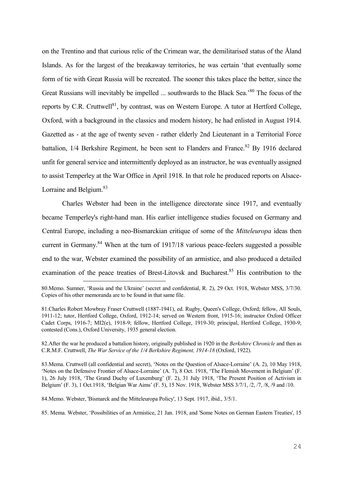on the Trentino and that curious relic of the Crimean war, the demilitarised status of the Åland Islands. As for the largest of the breakaway territories, he was certain 'that eventually some form of tie with Great Russia will be recreated. The sooner this takes place the better, since the Great Russians will inevitably be impelled ... southwards to the Black Sea.<sup>80</sup> The focus of the reports by C.R. Cruttwell<sup>81</sup>, by contrast, was on Western Europe. A tutor at Hertford College, Oxford, with a background in the classics and modern history, he had enlisted in August 1914. Gazetted as - at the age of twenty seven - rather elderly 2nd Lieutenant in a Territorial Force battalion,  $1/4$  Berkshire Regiment, he been sent to Flanders and France.<sup>82</sup> By 1916 declared unfit for general service and intermittently deployed as an instructor, he was eventually assigned to assist Temperley at the War Office in April 1918. In that role he produced reports on Alsace-Lorraine and Belgium.<sup>83</sup>

Charles Webster had been in the intelligence directorate since 1917, and eventually became Temperley's right-hand man. His earlier intelligence studies focused on Germany and Central Europe, including a neo-Bismarckian critique of some of the *Mitteleuropa* ideas then current in Germany.<sup>84</sup> When at the turn of 1917/18 various peace-feelers suggested a possible end to the war, Webster examined the possibility of an armistice, and also produced a detailed examination of the peace treaties of Brest-Litovsk and Bucharest.<sup>85</sup> His contribution to the <u>—</u>

82.After the war he produced a battalion history, originally published in 1920 in the *Berkshire Chronicle* and then as C.R.M.F. Cruttwell, *The War Service of the 1/4 Berkshire Regiment, 1914-18* (Oxford, 1922).

83.Mema. Cruttwell (all confidential and secret), 'Notes on the Question of Alsace-Lorraine' (A. 2), 10 May 1918, 'Notes on the Defensive Frontier of Alsace-Lorraine' (A. 7), 8 Oct. 1918, 'The Flemish Movement in Belgium' (F. 1), 26 July 1918, 'The Grand Duchy of Luxemburg' (F. 2), 31 July 1918, 'The Present Position of Activism in Belgium' (F. 3), 1 Oct.1918, 'Belgian War Aims' (F. 5), 15 Nov. 1918, Webster MSS 3/7/1, /2, /7, /8, /9 and /10.

84.Memo. Webster, 'Bismarck and the Mitteleuropa Policy', 13 Sept. 1917, ibid., 3/5/1.

85. Mema. Webster, 'Possibilities of an Armistice, 21 Jan. 1918, and 'Some Notes on German Eastern Treaties', 15

<sup>80.</sup>Memo. Sumner, 'Russia and the Ukraine' (secret and confidential, R. 2), 29 Oct. 1918, Webster MSS, 3/7/30. Copies of his other memoranda are to be found in that same file.

<sup>81.</sup>Charles Robert Mowbray Fraser Cruttwell (1887-1941), ed. Rugby, Queen's College, Oxford; fellow, All Souls, 1911-12; tutor, Hertford College, Oxford, 1912-14; served on Western front, 1915-16; instructor Oxford Officer Cadet Corps, 1916-7; MI2(e), 1918-9; fellow, Hertford College, 1919-30; principal, Hertford College, 1930-9; contested (Cons.), Oxford University, 1935 general election.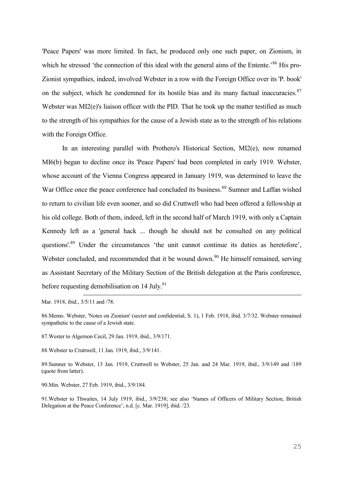'Peace Papers' was more limited. In fact, he produced only one such paper, on Zionism, in which he stressed 'the connection of this ideal with the general aims of the Entente.'<sup>86</sup> His pro-Zionist sympathies, indeed, involved Webster in a row with the Foreign Office over its 'P. book' on the subject, which he condemned for its hostile bias and its many factual inaccuracies. $87$ Webster was MI2(e)'s liaison officer with the PID. That he took up the matter testified as much to the strength of his sympathies for the cause of a Jewish state as to the strength of his relations with the Foreign Office.

In an interesting parallel with Prothero's Historical Section, MI2(e), now renamed MI6(b) began to decline once its 'Peace Papers' had been completed in early 1919. Webster, whose account of the Vienna Congress appeared in January 1919, was determined to leave the War Office once the peace conference had concluded its business.<sup>88</sup> Sumner and Laffan wished to return to civilian life even sooner, and so did Cruttwell who had been offered a fellowship at his old college. Both of them, indeed, left in the second half of March 1919, with only a Captain Kennedy left as a 'general hack ... though he should not be consulted on any political questions'.<sup>89</sup> Under the circumstances 'the unit cannot continue its duties as heretofore', Webster concluded, and recommended that it be wound down.<sup>90</sup> He himself remained, serving as Assistant Secretary of the Military Section of the British delegation at the Paris conference, before requesting demobilisation on 14 July.<sup>91</sup>

Mar. 1918, ibid., 3/5/11 and /78.

<u>—</u>

87.Wester to Algernon Cecil, 29 Jan. 1919, ibid., 3/9/171.

88.Webster to Cruttwell, 11 Jan. 1919, ibid., 3/9/141.

89.Sumner to Webster, 13 Jan. 1919, Cruttwell to Webster, 25 Jan. and 24 Mar. 1919, ibid., 3/9/149 and /189 (quote from latter).

90.Min. Webster, 27 Feb. 1919, ibid., 3/9/184.

91.Webster to Thwaites, 14 July 1919, ibid., 3/9/238; see also 'Names of Officers of Military Section, British Delegation at the Peace Conference', n.d. [c. Mar. 1919], ibid. /23.

<sup>86.</sup>Memo. Webster, 'Notes on Zionism' (secret and confidential, S. 1), 1 Feb. 1918, ibid. 3/7/32. Webster remained sympathetic to the cause of a Jewish state.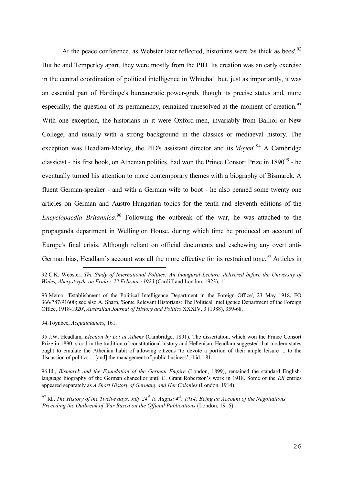At the peace conference, as Webster later reflected, historians were 'as thick as bees'.<sup>92</sup> But he and Temperley apart, they were mostly from the PID. Its creation was an early exercise in the central coordination of political intelligence in Whitehall but, just as importantly, it was an essential part of Hardinge's bureaucratic power-grab, though its precise status and, more especially, the question of its permanency, remained unresolved at the moment of creation.<sup>93</sup> With one exception, the historians in it were Oxford-men, invariably from Balliol or New College, and usually with a strong background in the classics or mediaeval history. The exception was Headlam-Morley, the PID's assistant director and its '*doyen*'.<sup>94</sup> A Cambridge classicist - his first book, on Athenian politics, had won the Prince Consort Prize in  $1890^{95}$  - he eventually turned his attention to more contemporary themes with a biography of Bismarck. A fluent German-speaker - and with a German wife to boot - he also penned some twenty one articles on German and Austro-Hungarian topics for the tenth and eleventh editions of the *Encyclopaedia Britannica*. <sup>96</sup> Following the outbreak of the war, he was attached to the propaganda department in Wellington House, during which time he produced an account of Europe's final crisis. Although reliant on official documents and eschewing any overt anti-German bias, Headlam's account was all the more effective for its restrained tone.<sup>97</sup> Articles in

92.C.K. Webster, *The Study of International Politics: An Inaugural Lecture, delivered before the University of Wales, Aberystwyth, on Friday, 23 February 1923* (Cardiff and London, 1923), 11.

93.Memo. 'Establishment of the Political Intelligence Department in the Foreign Office', 23 May 1918, FO 366/787/91600; see also A. Sharp, 'Some Relevant Historians: The Political Intelligence Department of the Foreign Office, 1918-1920', *Australian Journal of History and Politics* XXXIV, 3 (1988), 359-68.

94.Toynbee, *Acquaintances*, 161.

<u>—</u>

95.J.W. Headlam, *Election by Lot at Athens* (Cambridge, 1891). The dissertation, which won the Prince Consort Prize in 1890, stood in the tradition of constitutional history and Hellenism. Headlam suggested that modern states ought to emulate the Athenian habit of allowing citizens 'to devote a portion of their ample leisure ... to the discussion of politics ... [and] the management of public business', ibid. 181.

96.Id., *Bismarck and the Foundation of the German Empire* (London, 1899), remained the standard Englishlanguage biography of the German chancellor until C. Grant Robertson's work in 1918. Some of the *EB* entries appeared separately as *A Short History of Germany and Her Colonies* (London, 1914).

<sup>97</sup> Id., *The History of the Twelve days, July 24th to August 4th, 1914: Being an Account of the Negotiations Preceding the Outbreak of War Based on the Official Publications* (London, 1915).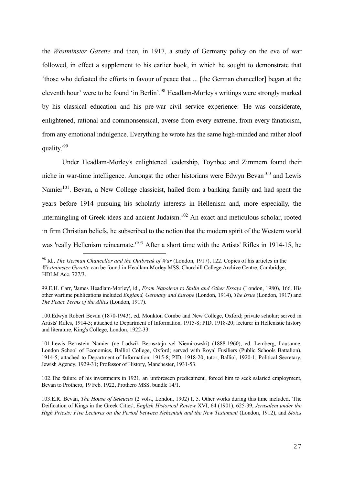the *Westminster Gazette* and then, in 1917, a study of Germany policy on the eve of war followed, in effect a supplement to his earlier book, in which he sought to demonstrate that 'those who defeated the efforts in favour of peace that ... [the German chancellor] began at the eleventh hour' were to be found 'in Berlin'.<sup>98</sup> Headlam-Morley's writings were strongly marked by his classical education and his pre-war civil service experience: 'He was considerate, enlightened, rational and commonsensical, averse from every extreme, from every fanaticism, from any emotional indulgence. Everything he wrote has the same high-minded and rather aloof quality.'<sup>99</sup>

Under Headlam-Morley's enlightened leadership, Toynbee and Zimmern found their niche in war-time intelligence. Amongst the other historians were Edwyn Bevan<sup>100</sup> and Lewis Namier<sup>101</sup>. Bevan, a New College classicist, hailed from a banking family and had spent the years before 1914 pursuing his scholarly interests in Hellenism and, more especially, the intermingling of Greek ideas and ancient Judaism.<sup>102</sup> An exact and meticulous scholar, rooted in firm Christian beliefs, he subscribed to the notion that the modern spirit of the Western world was 'really Hellenism reincarnate.'<sup>103</sup> After a short time with the Artists' Rifles in 1914-15, he

<u>—</u>

100.Edwyn Robert Bevan (1870-1943), ed. Monkton Combe and New College, Oxford; private scholar; served in Artists' Rifles, 1914-5; attached to Department of Information, 1915-8; PID, 1918-20; lecturer in Hellenistic history and literature, King's College, London, 1922-33.

101.Lewis Bernstein Namier (né Ludwik Bernsztajn vel Niemirowski) (1888-1960), ed. Lemberg, Lausanne, London School of Economics, Balliol College, Oxford; served with Royal Fusiliers (Public Schools Battalion), 1914-5; attached to Department of Information, 1915-8; PID, 1918-20; tutor, Balliol, 1920-1; Political Secretary, Jewish Agency, 1929-31; Professor of History, Manchester, 1931-53.

102.The failure of his investments in 1921, an 'unforeseen predicament', forced him to seek salaried employment, Bevan to Prothero, 19 Feb. 1922, Prothero MSS, bundle 14/1.

103.E.R. Bevan, *The House of Seleucus* (2 vols., London, 1902) I, 5. Other works during this time included, 'The Deification of Kings in the Greek Cities', *English Historical Review* XVI, 64 (1901), 625-39, *Jerusalem under the High Priests: Five Lectures on the Period between Nehemiah and the New Testament* (London, 1912), and *Stoics* 

<sup>&</sup>lt;sup>98</sup> Id., *The German Chancellor and the Outbreak of War* (London, 1917), 122. Copies of his articles in the *Westminster Gazette* can be found in Headlam-Morley MSS, Churchill College Archive Centre, Cambridge, HDLM Acc. 727/3.

<sup>99.</sup>E.H. Carr, 'James Headlam-Morley', id., *From Napoleon to Stalin and Other Essays* (London, 1980), 166. His other wartime publications included *England, Germany and Europe* (London, 1914), *The Issue* (London, 1917) and *The Peace Terms of the Allies* (London, 1917).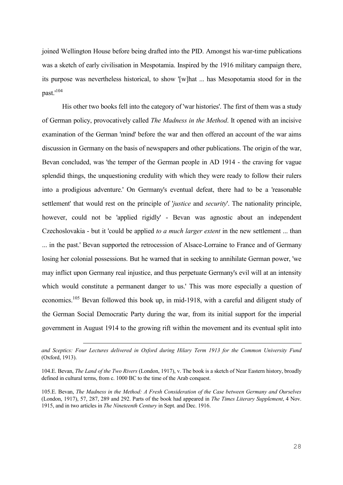joined Wellington House before being drafted into the PID. Amongst his war-time publications was a sketch of early civilisation in Mespotamia. Inspired by the 1916 military campaign there, its purpose was nevertheless historical, to show '[w]hat ... has Mesopotamia stood for in the past.'<sup>104</sup>

His other two books fell into the category of 'war histories'. The first of them was a study of German policy, provocatively called *The Madness in the Method*. It opened with an incisive examination of the German 'mind' before the war and then offered an account of the war aims discussion in Germany on the basis of newspapers and other publications. The origin of the war, Bevan concluded, was 'the temper of the German people in AD 1914 - the craving for vague splendid things, the unquestioning credulity with which they were ready to follow their rulers into a prodigious adventure.' On Germany's eventual defeat, there had to be a 'reasonable settlement' that would rest on the principle of '*justice* and *security*'. The nationality principle, however, could not be 'applied rigidly' - Bevan was agnostic about an independent Czechoslovakia - but it 'could be applied *to a much larger extent* in the new settlement ... than ... in the past.' Bevan supported the retrocession of Alsace-Lorraine to France and of Germany losing her colonial possessions. But he warned that in seeking to annihilate German power, 'we may inflict upon Germany real injustice, and thus perpetuate Germany's evil will at an intensity which would constitute a permanent danger to us.' This was more especially a question of economics.<sup>105</sup> Bevan followed this book up, in mid-1918, with a careful and diligent study of the German Social Democratic Party during the war, from its initial support for the imperial government in August 1914 to the growing rift within the movement and its eventual split into

*and Sceptics: Four Lectures delivered in Oxford during Hilary Term 1913 for the Common University Fund* (Oxford, 1913).

<sup>104.</sup>E. Bevan, *The Land of the Two Rivers* (London, 1917), v. The book is a sketch of Near Eastern history, broadly defined in cultural terms, from c. 1000 BC to the time of the Arab conquest.

<sup>105.</sup>E. Bevan, *The Madness in the Method: A Fresh Consideration of the Case between Germany and Ourselves* (London, 1917), 57, 287, 289 and 292. Parts of the book had appeared in *The Times Literary Supplement*, 4 Nov. 1915, and in two articles in *The Nineteenth Century* in Sept. and Dec. 1916.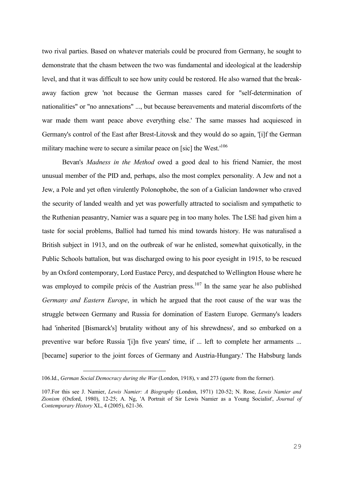two rival parties. Based on whatever materials could be procured from Germany, he sought to demonstrate that the chasm between the two was fundamental and ideological at the leadership level, and that it was difficult to see how unity could be restored. He also warned that the breakaway faction grew 'not because the German masses cared for "self-determination of nationalities" or "no annexations" ..., but because bereavements and material discomforts of the war made them want peace above everything else.' The same masses had acquiesced in Germany's control of the East after Brest-Litovsk and they would do so again, '[i]f the German military machine were to secure a similar peace on [sic] the West.<sup>106</sup>

Bevan's *Madness in the Method* owed a good deal to his friend Namier, the most unusual member of the PID and, perhaps, also the most complex personality. A Jew and not a Jew, a Pole and yet often virulently Polonophobe, the son of a Galician landowner who craved the security of landed wealth and yet was powerfully attracted to socialism and sympathetic to the Ruthenian peasantry, Namier was a square peg in too many holes. The LSE had given him a taste for social problems, Balliol had turned his mind towards history. He was naturalised a British subject in 1913, and on the outbreak of war he enlisted, somewhat quixotically, in the Public Schools battalion, but was discharged owing to his poor eyesight in 1915, to be rescued by an Oxford contemporary, Lord Eustace Percy, and despatched to Wellington House where he was employed to compile précis of the Austrian press.<sup>107</sup> In the same year he also published *Germany and Eastern Europe*, in which he argued that the root cause of the war was the struggle between Germany and Russia for domination of Eastern Europe. Germany's leaders had 'inherited [Bismarck's] brutality without any of his shrewdness', and so embarked on a preventive war before Russia '[i]n five years' time, if ... left to complete her armaments ... [became] superior to the joint forces of Germany and Austria-Hungary.' The Habsburg lands

<sup>106.</sup>Id., *German Social Democracy during the War* (London, 1918), v and 273 (quote from the former).

<sup>107.</sup>For this see J. Namier, *Lewis Namier: A Biography* (London, 1971) 120-52; N. Rose, *Lewis Namier and Zionism* (Oxford, 1980), 12-25; A. Ng, 'A Portrait of Sir Lewis Namier as a Young Socialist', *Journal of Contemporary History* XL, 4 (2005), 621-36.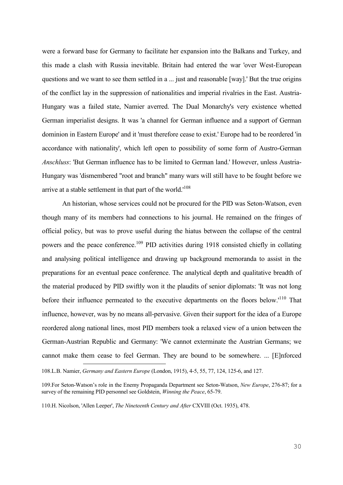were a forward base for Germany to facilitate her expansion into the Balkans and Turkey, and this made a clash with Russia inevitable. Britain had entered the war 'over West-European questions and we want to see them settled in a ... just and reasonable [way].' But the true origins of the conflict lay in the suppression of nationalities and imperial rivalries in the East. Austria-Hungary was a failed state, Namier averred. The Dual Monarchy's very existence whetted German imperialist designs. It was 'a channel for German influence and a support of German dominion in Eastern Europe' and it 'must therefore cease to exist.' Europe had to be reordered 'in accordance with nationality', which left open to possibility of some form of Austro-German *Anschluss*: 'But German influence has to be limited to German land.' However, unless Austria-Hungary was 'dismembered "root and branch" many wars will still have to be fought before we arrive at a stable settlement in that part of the world.<sup>108</sup>

An historian, whose services could not be procured for the PID was Seton-Watson, even though many of its members had connections to his journal. He remained on the fringes of official policy, but was to prove useful during the hiatus between the collapse of the central powers and the peace conference.<sup>109</sup> PID activities during 1918 consisted chiefly in collating and analysing political intelligence and drawing up background memoranda to assist in the preparations for an eventual peace conference. The analytical depth and qualitative breadth of the material produced by PID swiftly won it the plaudits of senior diplomats: 'It was not long before their influence permeated to the executive departments on the floors below.'<sup>110</sup> That influence, however, was by no means all-pervasive. Given their support for the idea of a Europe reordered along national lines, most PID members took a relaxed view of a union between the German-Austrian Republic and Germany: 'We cannot exterminate the Austrian Germans; we cannot make them cease to feel German. They are bound to be somewhere. ... [E]nforced <u>—</u>

<sup>108.</sup>L.B. Namier, *Germany and Eastern Europe* (London, 1915), 4-5, 55, 77, 124, 125-6, and 127.

<sup>109.</sup>For Seton-Watson's role in the Enemy Propaganda Department see Seton-Watson, *New Europe*, 276-87; for a survey of the remaining PID personnel see Goldstein, *Winning the Peace*, 65-79.

<sup>110.</sup>H. Nicolson, 'Allen Leeper', *The Nineteenth Century and After* CXVIII (Oct. 1935), 478.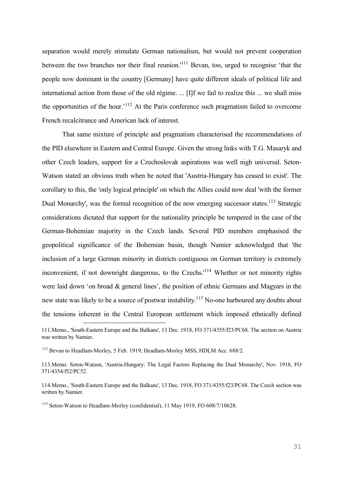separation would merely stimulate German nationalism, but would not prevent cooperation between the two branches nor their final reunion.<sup>'111</sup> Bevan, too, urged to recognise 'that the people now dominant in the country [Germany] have quite different ideals of political life and international action from those of the old régime. ... [I]f we fail to realize this ... we shall miss the opportunities of the hour.<sup> $112$ </sup> At the Paris conference such pragmatism failed to overcome French recalcitrance and American lack of interest.

That same mixture of principle and pragmatism characterised the recommendations of the PID elsewhere in Eastern and Central Europe. Given the strong links with T.G. Masaryk and other Czech leaders, support for a Czechoslovak aspirations was well nigh universal. Seton-Watson stated an obvious truth when he noted that 'Austria-Hungary has ceased to exist'. The corollary to this, the 'only logical principle' on which the Allies could now deal 'with the former Dual Monarchy', was the formal recognition of the now emerging successor states.<sup>113</sup> Strategic considerations dictated that support for the nationality principle be tempered in the case of the German-Bohemian majority in the Czech lands. Several PID members emphasised the geopolitical significance of the Bohemian basin, though Namier acknowledged that 'the inclusion of a large German minority in districts contiguous on German territory is extremely inconvenient, if not downright dangerous, to the Czechs.<sup>'114</sup> Whether or not minority rights were laid down 'on broad & general lines', the position of ethnic Germans and Magyars in the new state was likely to be a source of postwar instability.<sup>115</sup> No-one harboured any doubts about the tensions inherent in the Central European settlement which imposed ethnically defined

<sup>111.</sup>Memo., 'South-Eastern Europe and the Balkans', 13 Dec. 1918, FO 371/4355/f23/PC68. The section on Austria was written by Namier.

<sup>&</sup>lt;sup>112</sup> Bevan to Headlam-Morley, 5 Feb. 1919, Headlam-Morley MSS, HDLM Acc. 688/2.

<sup>113.</sup>Memo. Seton-Watson, 'Austria-Hungary: The Legal Factors Replacing the Dual Monarchy', Nov. 1918, FO 371/4354/f52/PC52.

<sup>114.</sup>Memo., 'South-Eastern Europe and the Balkans', 13 Dec. 1918, FO 371/4355/f23/PC68. The Czech section was written by Namier.

<sup>&</sup>lt;sup>115</sup> Seton-Watson to Headlam-Morley (confidential), 11 May 1919, FO 608/7/10628.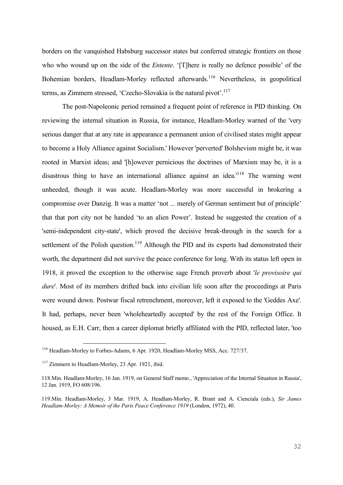borders on the vanquished Habsburg successor states but conferred strategic frontiers on those who who wound up on the side of the *Entente*. '[T]here is really no defence possible' of the Bohemian borders, Headlam-Morley reflected afterwards.<sup>116</sup> Nevertheless, in geopolitical terms, as Zimmern stressed, 'Czecho-Slovakia is the natural pivot'.<sup>117</sup>

The post-Napoleonic period remained a frequent point of reference in PID thinking. On reviewing the internal situation in Russia, for instance, Headlam-Morley warned of the 'very serious danger that at any rate in appearance a permanent union of civilised states might appear to become a Holy Alliance against Socialism.' However 'perverted' Bolshevism might be, it was rooted in Marxist ideas; and '[h]owever pernicious the doctrines of Marxism may be, it is a disastrous thing to have an international alliance against an idea.<sup> $118$ </sup> The warning went unheeded, though it was acute. Headlam-Morley was more successful in brokering a compromise over Danzig. It was a matter 'not ... merely of German sentiment but of principle' that that port city not be handed 'to an alien Power'. Instead he suggested the creation of a 'semi-independent city-state', which proved the decisive break-through in the search for a settlement of the Polish question.<sup>119</sup> Although the PID and its experts had demonstrated their worth, the department did not survive the peace conference for long. With its status left open in 1918, it proved the exception to the otherwise sage French proverb about '*le provisoire qui dure*'. Most of its members drifted back into civilian life soon after the proceedings at Paris were wound down. Postwar fiscal retrenchment, moreover, left it exposed to the 'Geddes Axe'. It had, perhaps, never been 'wholeheartedly accepted' by the rest of the Foreign Office. It housed, as E.H. Carr, then a career diplomat briefly affiliated with the PID, reflected later, 'too

<sup>116</sup> Headlam-Morley to Forbes-Adams, 6 Apr. 1920, Headlam-Morley MSS, Acc. 727/37.

<sup>&</sup>lt;sup>117</sup> Zimmern to Headlam-Morley, 23 Apr. 1921, ibid.

<sup>118.</sup>Min. Headlam-Morley, 16 Jan. 1919, on General Staff memo., 'Appreciation of the Internal Situation in Russia', 12 Jan. 1919, FO 608/196.

<sup>119.</sup>Min. Headlam-Morley, 3 Mar. 1919, A. Headlam-Morley, R. Brant and A. Cienciala (eds.), *Sir James Headlam-Morley: A Memoir of the Paris Peace Conference 1919* (London, 1972), 40.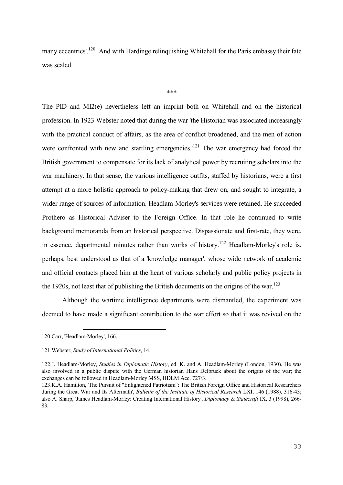many eccentrics'.<sup>120</sup> And with Hardinge relinquishing Whitehall for the Paris embassy their fate was sealed.

\*\*\*

The PID and MI2(e) nevertheless left an imprint both on Whitehall and on the historical profession. In 1923 Webster noted that during the war 'the Historian was associated increasingly with the practical conduct of affairs, as the area of conflict broadened, and the men of action were confronted with new and startling emergencies.<sup>'121</sup> The war emergency had forced the British government to compensate for its lack of analytical power by recruiting scholars into the war machinery. In that sense, the various intelligence outfits, staffed by historians, were a first attempt at a more holistic approach to policy-making that drew on, and sought to integrate, a wider range of sources of information. Headlam-Morley's services were retained. He succeeded Prothero as Historical Adviser to the Foreign Office. In that role he continued to write background memoranda from an historical perspective. Dispassionate and first-rate, they were, in essence, departmental minutes rather than works of history.<sup>122</sup> Headlam-Morley's role is, perhaps, best understood as that of a 'knowledge manager', whose wide network of academic and official contacts placed him at the heart of various scholarly and public policy projects in the 1920s, not least that of publishing the British documents on the origins of the war.<sup>123</sup>

Although the wartime intelligence departments were dismantled, the experiment was deemed to have made a significant contribution to the war effort so that it was revived on the

<sup>120.</sup>Carr, 'Headlam-Morley', 166.

<sup>121.</sup>Webster, *Study of International Politics*, 14.

<sup>122.</sup>J. Headlam-Morley, *Studies in Diplomatic History*, ed. K. and A. Headlam-Morley (London, 1930). He was also involved in a public dispute with the German historian Hans Delbrück about the origins of the war; the exchanges can be followed in Headlam-Morley MSS, HDLM Acc. 727/3.

<sup>123.</sup>K.A. Hamilton, 'The Pursuit of "Enlightened Patriotism": The British Foreign Office and Historical Researchers during the Great War and Its Aftermath', *Bulletin of the Institute of Historical Research* LXI, 146 (1988), 316-43; also A. Sharp, 'James Headlam-Morley: Creating International History', *Diplomacy & Statecraft* IX, 3 (1998), 266- 83.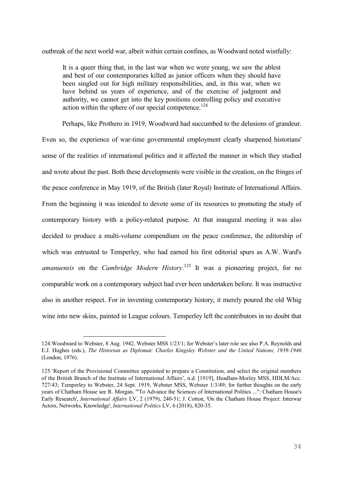outbreak of the next world war, albeit within certain confines, as Woodward noted wistfully:

It is a queer thing that, in the last war when we were young, we saw the ablest and best of our contemporaries killed as junior officers when they should have been singled out for high military responsibilities, and, in this war, when we have behind us years of experience, and of the exercise of judgment and authority, we cannot get into the key positions controlling policy and executive action within the sphere of our special competence.<sup>124</sup>

Perhaps, like Prothero in 1919, Woodward had succumbed to the delusions of grandeur. Even so, the experience of war-time governmental employment clearly sharpened historians' sense of the realities of international politics and it affected the manner in which they studied and wrote about the past. Both these developments were visible in the creation, on the fringes of the peace conference in May 1919, of the British (later Royal) Institute of International Affairs. From the beginning it was intended to devote some of its resources to promoting the study of contemporary history with a policy-related purpose. At that inaugural meeting it was also decided to produce a multi-volume compendium on the peace conference, the editorship of which was entrusted to Temperley, who had earned his first editorial spurs as A.W. Ward's *amanuensis* on the *Cambridge Modern History*. <sup>125</sup> It was a pioneering project, for no comparable work on a contemporary subject had ever been undertaken before. It was instructive also in another respect. For in inventing contemporary history, it merely poured the old Whig wine into new skins, painted in League colours. Temperley left the contributors in no doubt that

<sup>124.</sup>Woodward to Webster, 8 Aug. 1942, Webster MSS 1/23/1; for Webster's later role see also P.A. Reynolds and E.J. Hughes (eds.), *The Historian as Diplomat: Charles Kingsley Webster and the United Nations, 1939-1946* (London, 1976).

<sup>125.</sup>'Report of the Provisional Committee appointed to prepare a Constitution, and select the original members of the British Branch of the Institute of International Affairs', n.d. [1919], Headlam-Morley MSS, HDLM/Acc. 727/43; Temperley to Webster, 24 Sept. 1919, Webster MSS, Webster 1/3/49; for further thoughts on the early years of Chatham House see R. Morgan, '"To Advance the Sciences of International Politics ...": Chatham House's Early Research', *International Affairs* LV, 2 (1979), 240-51; J. Cotton, 'On the Chatham House Project: Interwar Actors, Networks, Knowledge', *International Politics* LV, 6 (2018), 820-35.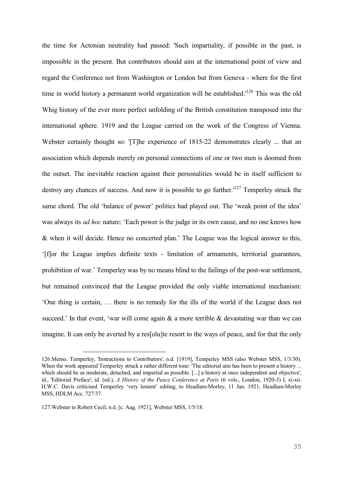the time for Actonian neutrality had passed: 'Such impartiality, if possible in the past, is impossible in the present. But contributors should aim at the international point of view and regard the Conference not from Washington or London but from Geneva - where for the first time in world history a permanent world organization will be established.<sup>126</sup> This was the old Whig history of the ever more perfect unfolding of the British constitution transposed into the international sphere. 1919 and the League carried on the work of the Congress of Vienna. Webster certainly thought so: '[T]he experience of 1815-22 demonstrates clearly ... that an association which depends merely on personal connections of one or two men is doomed from the outset. The inevitable reaction against their personalities would be in itself sufficient to destroy any chances of success. And now it is possible to go further.'<sup>127</sup> Temperley struck the same chord. The old 'balance of power' politics had played out. The 'weak point of the idea' was always its *ad hoc* nature: 'Each power is the judge in its own cause, and no one knows how & when it will decide. Hence no concerted plan.' The League was the logical answer to this, '[f]or the League implies definite texts - limitation of armaments, territorial guarantees, prohibition of war.' Temperley was by no means blind to the failings of the post-war settlement, but remained convinced that the League provided the only viable international mechanism: 'One thing is certain, … there is no remedy for the ills of the world if the League does not succeed.' In that event, 'war will come again  $\&$  a more terrible  $\&$  devastating war than we can imagine. It can only be averted by a res[olu]te resort to the ways of peace, and for that the only

<sup>126.</sup>Memo. Temperley, 'Instructions to Contributors', n.d. [1919], Temperley MSS (also Webster MSS, 1/3/30). When the work appeared Temperley struck a rather different tone: 'The editorial aim has been to present a history ... which should be as moderate, detached, and impartial as possible. [...] a history at once independent and objective', id., 'Editorial Preface', id. (ed.), *A History of the Peace Conference at Paris* (6 vols., London, 1920-3) I, xi-xii. H.W.C. Davis criticised Temperley 'very lenient' editing, to Headlam-Morley, 11 Jan. 1921, Headlam-Morley MSS, HDLM Acc. 727/37.

<sup>127.</sup>Webster to Robert Cecil, n.d. [c. Aug. 1921], Webster MSS, 1/5/18.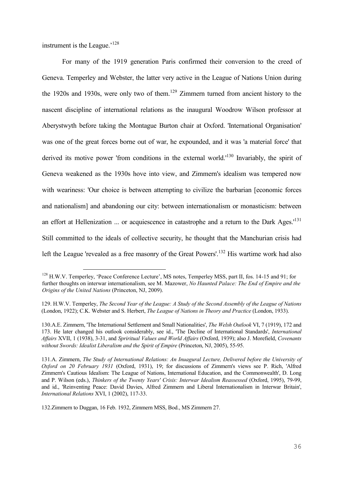instrument is the League.'<sup>128</sup>

<u>—</u>

For many of the 1919 generation Paris confirmed their conversion to the creed of Geneva. Temperley and Webster, the latter very active in the League of Nations Union during the 1920s and 1930s, were only two of them.<sup>129</sup> Zimmern turned from ancient history to the nascent discipline of international relations as the inaugural Woodrow Wilson professor at Aberystwyth before taking the Montague Burton chair at Oxford. 'International Organisation' was one of the great forces borne out of war, he expounded, and it was 'a material force' that derived its motive power 'from conditions in the external world.'<sup>130</sup> Invariably, the spirit of Geneva weakened as the 1930s hove into view, and Zimmern's idealism was tempered now with weariness: 'Our choice is between attempting to civilize the barbarian [economic forces and nationalism] and abandoning our city: between internationalism or monasticism: between an effort at Hellenization ... or acquiescence in catastrophe and a return to the Dark Ages.<sup> $131$ </sup> Still committed to the ideals of collective security, he thought that the Manchurian crisis had left the League 'revealed as a free masonry of the Great Powers'.<sup>132</sup> His wartime work had also

<sup>&</sup>lt;sup>128</sup> H.W.V. Temperley, 'Peace Conference Lecture', MS notes, Temperley MSS, part II, fos. 14-15 and 91; for further thoughts on interwar internationalism, see M. Mazower, *No Haunted Palace: The End of Empire and the Origins of the United Nations* (Princeton, NJ, 2009).

<sup>129.</sup> H.W.V. Temperley, *The Second Year of the League: A Study of the Second Assembly of the League of Nations*  (London, 1922); C.K. Webster and S. Herbert, *The League of Nations in Theory and Practice* (London, 1933).

<sup>130.</sup>A.E. Zimmern, 'The International Settlement and Small Nationalities', *The Welsh Outlook* VI, 7 (1919), 172 and 173. He later changed his outlook considerably, see id., 'The Decline of International Standards', *International Affairs* XVII, 1 (1938), 3-31, and *Spriritual Values and World Affairs* (Oxford, 1939); also J. Morefield, *Covenants without Swords: Idealist Liberalism and the Spirit of Empire* (Princeton, NJ, 2005), 55-95.

<sup>131.</sup>A. Zimmern, *The Study of International Relations: An Inuagural Lecture, Delivered before the University of Oxford on 20 February 1931* (Oxford, 1931), 19; for discussions of Zimmern's views see P. Rich, 'Alfred Zimmern's Cautious Idealism: The League of Nations, International Education, and the Commonwealth', D. Long and P. Wilson (eds.), *Thinkers of the Twenty Years' Crisis: Interwar Idealism Reassessed* (Oxford, 1995), 79-99, and id., 'Reinventing Peace: David Davies, Alfred Zimmern and Liberal Internationalism in Interwar Britain', *International Relations* XVI, 1 (2002), 117-33.

<sup>132.</sup>Zimmern to Duggan, 16 Feb. 1932, Zimmern MSS, Bod., MS Zimmern 27.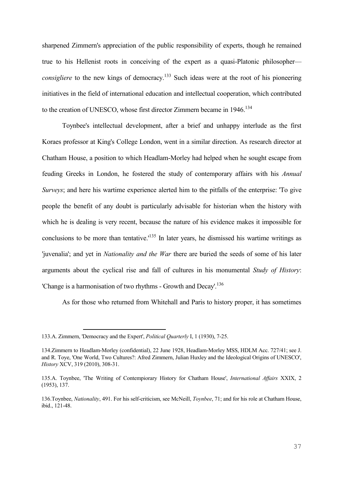sharpened Zimmern's appreciation of the public responsibility of experts, though he remained true to his Hellenist roots in conceiving of the expert as a quasi-Platonic philosopher *consigliere* to the new kings of democracy.<sup>133</sup> Such ideas were at the root of his pioneering initiatives in the field of international education and intellectual cooperation, which contributed to the creation of UNESCO, whose first director Zimmern became in 1946.<sup>134</sup>

Toynbee's intellectual development, after a brief and unhappy interlude as the first Koraes professor at King's College London, went in a similar direction. As research director at Chatham House, a position to which Headlam-Morley had helped when he sought escape from feuding Greeks in London, he fostered the study of contemporary affairs with his *Annual Surveys*; and here his wartime experience alerted him to the pitfalls of the enterprise: 'To give people the benefit of any doubt is particularly advisable for historian when the history with which he is dealing is very recent, because the nature of his evidence makes it impossible for conclusions to be more than tentative.<sup>135</sup> In later years, he dismissed his wartime writings as 'juvenalia'; and yet in *Nationality and the War* there are buried the seeds of some of his later arguments about the cyclical rise and fall of cultures in his monumental *Study of History*: 'Change is a harmonisation of two rhythms - Growth and Decay'.<sup>136</sup>

As for those who returned from Whitehall and Paris to history proper, it has sometimes

<sup>133.</sup>A. Zimmern, 'Democracy and the Expert', *Political Quarterly* I, 1 (1930), 7-25.

<sup>134.</sup>Zimmern to Headlam-Morley (confidential), 22 June 1928, Headlam-Morley MSS, HDLM Acc. 727/41; see J. and R. Toye, 'One World, Two Cultures?: Afred Zimmern, Julian Huxley and the Ideological Origins of UNESCO', *History* XCV, 319 (2010), 308-31.

<sup>135.</sup>A. Toynbee, 'The Writing of Contempiorary History for Chatham House', *International Affairs* XXIX, 2 (1953), 137.

<sup>136.</sup>Toynbee, *Nationality*, 491. For his self-criticism, see McNeill, *Toynbee*, 71; and for his role at Chatham House, ibid., 121-48.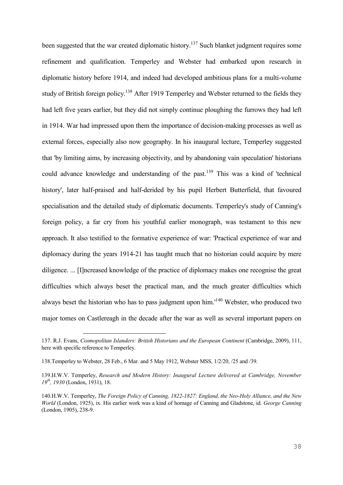been suggested that the war created diplomatic history.<sup>137</sup> Such blanket judgment requires some refinement and qualification. Temperley and Webster had embarked upon research in diplomatic history before 1914, and indeed had developed ambitious plans for a multi-volume study of British foreign policy.<sup>138</sup> After 1919 Temperley and Webster returned to the fields they had left five years earlier, but they did not simply continue ploughing the furrows they had left in 1914. War had impressed upon them the importance of decision-making processes as well as external forces, especially also now geography. In his inaugural lecture, Temperley suggested that 'by limiting aims, by increasing objectivity, and by abandoning vain speculation' historians could advance knowledge and understanding of the past.<sup>139</sup> This was a kind of 'technical history', later half-praised and half-derided by his pupil Herbert Butterfield, that favoured specialisation and the detailed study of diplomatic documents. Temperley's study of Canning's foreign policy, a far cry from his youthful earlier monograph, was testament to this new approach. It also testified to the formative experience of war: 'Practical experience of war and diplomacy during the years 1914-21 has taught much that no historian could acquire by mere diligence. ... [I]ncreased knowledge of the practice of diplomacy makes one recognise the great difficulties which always beset the practical man, and the much greater difficulties which always beset the historian who has to pass judgment upon him.'<sup>140</sup> Webster, who produced two major tomes on Castlereagh in the decade after the war as well as several important papers on

<sup>137.</sup> R.J. Evans, *Cosmopolitan Islanders: British Historians and the European Continent* (Cambridge, 2009), 111, here with specific reference to Temperley.

<sup>138.</sup>Temperley to Webster, 28 Feb., 6 Mar. and 5 May 1912, Webster MSS, 1/2/20, /25 and /39.

<sup>139.</sup>H.W.V. Temperley, *Research and Modern History: Inaugural Lecture delivered at Cambridge, November 19th, 1930* (London, 1931), 18.

<sup>140.</sup>H.W.V. Temperley, *The Foreign Policy of Canning, 1822-1827: England, the Neo-Holy Alliance, and the New World* (London, 1925), ix. His earlier work was a kind of homage of Canning and Gladstone, id. *George Canning* (London, 1905), 238-9.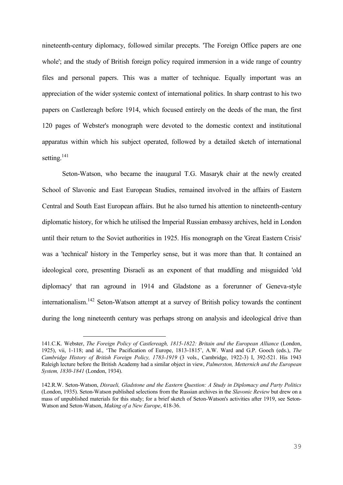nineteenth-century diplomacy, followed similar precepts. 'The Foreign Office papers are one whole'; and the study of British foreign policy required immersion in a wide range of country files and personal papers. This was a matter of technique. Equally important was an appreciation of the wider systemic context of international politics. In sharp contrast to his two papers on Castlereagh before 1914, which focused entirely on the deeds of the man, the first 120 pages of Webster's monograph were devoted to the domestic context and institutional apparatus within which his subject operated, followed by a detailed sketch of international setting.<sup>141</sup>

Seton-Watson, who became the inaugural T.G. Masaryk chair at the newly created School of Slavonic and East European Studies, remained involved in the affairs of Eastern Central and South East European affairs. But he also turned his attention to nineteenth-century diplomatic history, for which he utilised the Imperial Russian embassy archives, held in London until their return to the Soviet authorities in 1925. His monograph on the 'Great Eastern Crisis' was a 'technical' history in the Temperley sense, but it was more than that. It contained an ideological core, presenting Disraeli as an exponent of that muddling and misguided 'old diplomacy' that ran aground in 1914 and Gladstone as a forerunner of Geneva-style internationalism.<sup>142</sup> Seton-Watson attempt at a survey of British policy towards the continent during the long nineteenth century was perhaps strong on analysis and ideological drive than

<sup>141.</sup>C.K. Webster, *The Foreign Policy of Castlereagh, 1815-1822: Britain and the European Alliance* (London, 1925), vii, 1-118; and id., 'The Pacification of Europe, 1813-1815', A.W. Ward and G.P. Gooch (eds.), *The Cambridge History of British Foreign Policy, 1783-1919* (3 vols., Cambridge, 1922-3) I, 392-521. His 1943 Raleigh lecture before the British Academy had a similar object in view, *Palmerston, Metternich and the European System, 1830-1841* (London, 1934).

<sup>142.</sup>R.W. Seton-Watson, *Disraeli, Gladstone and the Eastern Question: A Study in Diplomacy and Party Politics* (London, 1935). Seton-Watson published selections from the Russian archives in the *Slavonic Review* but drew on a mass of unpublished materials for this study; for a brief sketch of Seton-Watson's activities after 1919, see Seton-Watson and Seton-Watson, *Making of a New Europe*, 418-36.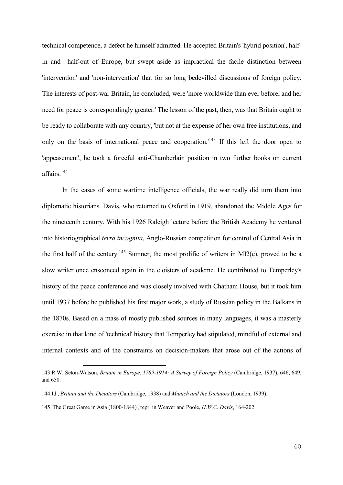technical competence, a defect he himself admitted. He accepted Britain's 'hybrid position', halfin and half-out of Europe, but swept aside as impractical the facile distinction between 'intervention' and 'non-intervention' that for so long bedevilled discussions of foreign policy. The interests of post-war Britain, he concluded, were 'more worldwide than ever before, and her need for peace is correspondingly greater.' The lesson of the past, then, was that Britain ought to be ready to collaborate with any country, 'but not at the expense of her own free institutions, and only on the basis of international peace and cooperation.<sup>143</sup> If this left the door open to 'appeasement', he took a forceful anti-Chamberlain position in two further books on current affairs.<sup>144</sup>

In the cases of some wartime intelligence officials, the war really did turn them into diplomatic historians. Davis, who returned to Oxford in 1919, abandoned the Middle Ages for the nineteenth century. With his 1926 Raleigh lecture before the British Academy he ventured into historiographical *terra incognita*, Anglo-Russian competition for control of Central Asia in the first half of the century.<sup>145</sup> Sumner, the most prolific of writers in MI2(e), proved to be a slow writer once ensconced again in the cloisters of academe. He contributed to Temperley's history of the peace conference and was closely involved with Chatham House, but it took him until 1937 before he published his first major work, a study of Russian policy in the Balkans in the 1870s. Based on a mass of mostly published sources in many languages, it was a masterly exercise in that kind of 'technical' history that Temperley had stipulated, mindful of external and internal contexts and of the constraints on decision-makers that arose out of the actions of

<sup>143.</sup>R.W. Seton-Watson, *Britain in Europe, 1789-1914: A Survey of Foreign Policy* (Cambridge, 1937), 646, 649, and 650.

<sup>144.</sup>Id., *Britain and the Dictators* (Cambridge, 1938) and *Munich and the Dictators* (London, 1939).

<sup>145.&#</sup>x27;The Great Game in Asia (1800-1844)', repr. in Weaver and Poole, *H.W.C. Davis*, 164-202.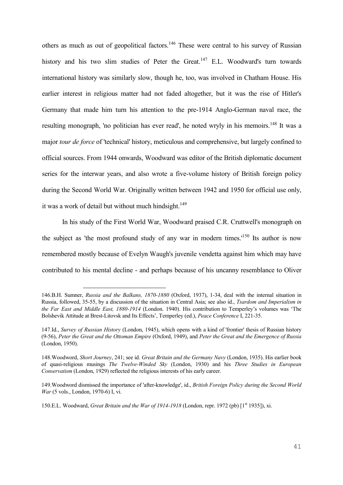others as much as out of geopolitical factors.<sup>146</sup> These were central to his survey of Russian history and his two slim studies of Peter the Great.<sup>147</sup> E.L. Woodward's turn towards international history was similarly slow, though he, too, was involved in Chatham House. His earlier interest in religious matter had not faded altogether, but it was the rise of Hitler's Germany that made him turn his attention to the pre-1914 Anglo-German naval race, the resulting monograph, 'no politician has ever read', he noted wryly in his memoirs.<sup>148</sup> It was a major *tour de force* of 'technical' history, meticulous and comprehensive, but largely confined to official sources. From 1944 onwards, Woodward was editor of the British diplomatic document series for the interwar years, and also wrote a five-volume history of British foreign policy during the Second World War. Originally written between 1942 and 1950 for official use only, it was a work of detail but without much hindsight.<sup>149</sup>

In his study of the First World War, Woodward praised C.R. Cruttwell's monograph on the subject as 'the most profound study of any war in modern times.'<sup>150</sup> Its author is now remembered mostly because of Evelyn Waugh's juvenile vendetta against him which may have contributed to his mental decline - and perhaps because of his uncanny resemblance to Oliver

<u>—</u>

150.E.L. Woodward, *Great Britain and the War of 1914-1918* (London, repr. 1972 (pb) [1<sup>st</sup> 1935]), xi.

<sup>146.</sup>B.H. Sumner, *Russia and the Balkans, 1870-1880* (Oxford, 1937), 1-34, deal with the internal situation in Russia, followed, 35-55, by a discussion of the situation in Central Asia; see also id., *Tsardom and Imperialism in the Far East and Middle East, 1880-1914* (London. 1940). His contribution to Temperley's volumes was 'The Bolshevik Attitude at Brest-Litovsk and Its Effects', Temperley (ed.), *Peace Conference* I, 221-35.

<sup>147.</sup>Id., *Survey of Russian History* (London, 1945), which opens with a kind of 'frontier' thesis of Russian history (9-56), *Peter the Great and the Ottoman Empire* (Oxford, 1949), and *Peter the Great and the Emergence of Russia* (London, 1950).

<sup>148.</sup>Woodword, *Short Journey*, 241; see id. *Great Britain and the Germany Navy* (London, 1935). His earlier book of quasi-religious musings *The Twelve-Winded Sky* (London, 1930) and his *Three Studies in European Conservatism* (London, 1929) reflected the religious interests of his early career.

<sup>149.</sup>Woodword dismissed the importance of 'after-knowledge', id., *British Foreign Policy during the Second World War* (5 vols., London, 1970-6) I, vi.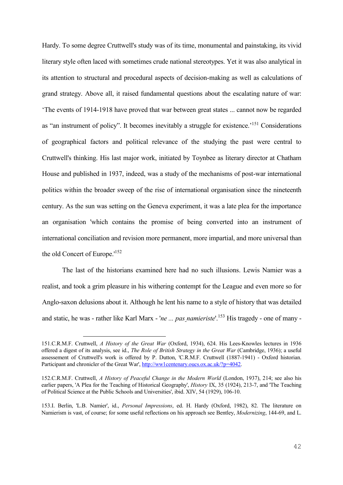Hardy. To some degree Cruttwell's study was of its time, monumental and painstaking, its vivid literary style often laced with sometimes crude national stereotypes. Yet it was also analytical in its attention to structural and procedural aspects of decision-making as well as calculations of grand strategy. Above all, it raised fundamental questions about the escalating nature of war: 'The events of 1914-1918 have proved that war between great states ... cannot now be regarded as "an instrument of policy". It becomes inevitably a struggle for existence.<sup>151</sup> Considerations of geographical factors and political relevance of the studying the past were central to Cruttwell's thinking. His last major work, initiated by Toynbee as literary director at Chatham House and published in 1937, indeed, was a study of the mechanisms of post-war international politics within the broader sweep of the rise of international organisation since the nineteenth century. As the sun was setting on the Geneva experiment, it was a late plea for the importance an organisation 'which contains the promise of being converted into an instrument of international conciliation and revision more permanent, more impartial, and more universal than the old Concert of Europe.<sup>152</sup>

The last of the historians examined here had no such illusions. Lewis Namier was a realist, and took a grim pleasure in his withering contempt for the League and even more so for Anglo-saxon delusions about it. Although he lent his name to a style of history that was detailed and static, he was - rather like Karl Marx - '*ne ... pas namieriste*'.<sup>153</sup> His tragedy - one of many -

<sup>151.</sup>C.R.M.F. Cruttwell, *A History of the Great War* (Oxford, 1934), 624. His Lees-Knowles lectures in 1936 offered a digest of its analysis, see id., *The Role of British Strategy in the Great War* (Cambridge, 1936); a useful assessement of Cruttwell's work is offered by P. Dutton, 'C.R.M.F. Cruttwell (1887-1941) - Oxford historian. Participant and chronicler of the Great War'[, http://ww1centenary.oucs.ox.ac.uk/?p=4042.](http://ww1centenary.oucs.ox.ac.uk/?p=4042)

<sup>152.</sup>C.R.M.F. Cruttwell, *A History of Peaceful Change in the Modern World* (London, 1937), 214; see also his earlier papers, 'A Plea for the Teaching of Historical Geography', *History* IX, 35 (1924), 213-7, and 'The Teaching of Political Science at the Public Schools and Universities', ibid. XIV, 54 (1929), 106-10.

<sup>153.</sup>I. Berlin, 'L.B. Namier', id., *Personal Impressions*, ed. H. Hardy (Oxford, 1982), 82. The literature on Namierism is vast, of course; for some useful reflections on his approach see Bentley, *Modernizing*, 144-69, and L.